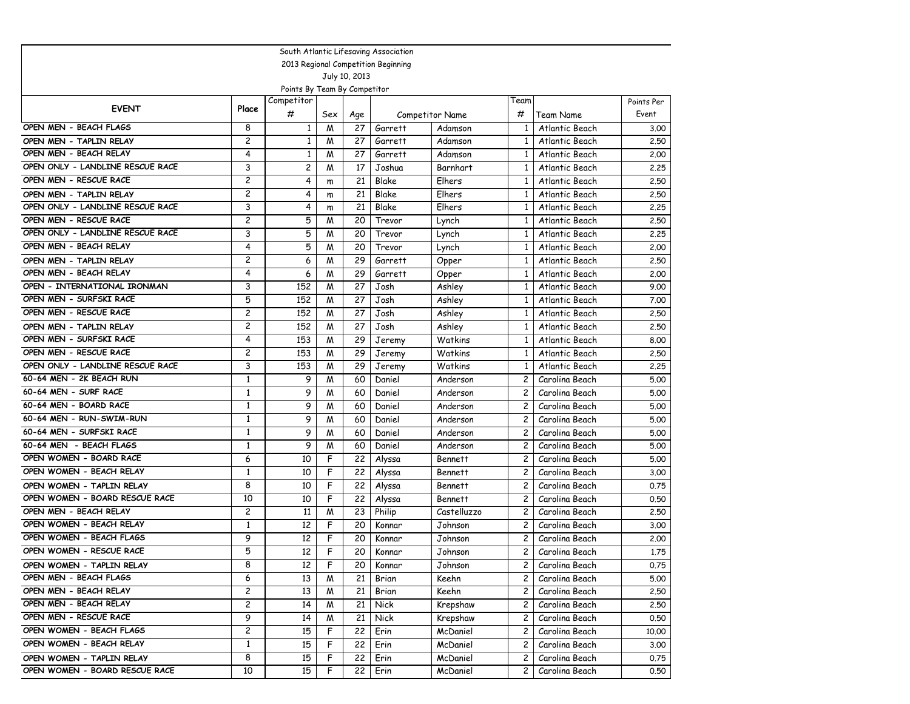| South Atlantic Lifesaving Association |                |                              |     |               |                                     |                 |                |                |            |  |  |
|---------------------------------------|----------------|------------------------------|-----|---------------|-------------------------------------|-----------------|----------------|----------------|------------|--|--|
|                                       |                |                              |     |               | 2013 Regional Competition Beginning |                 |                |                |            |  |  |
|                                       |                |                              |     | July 10, 2013 |                                     |                 |                |                |            |  |  |
|                                       |                | Points By Team By Competitor |     |               |                                     |                 |                |                |            |  |  |
| <b>EVENT</b>                          | Place          | Competitor                   |     |               |                                     |                 | Team           |                | Points Per |  |  |
|                                       |                | #                            | Sex | Age           |                                     | Competitor Name | #              | Team Name      | Event      |  |  |
| OPEN MEN - BEACH FLAGS                | 8              | 1                            | M   | 27            | Garrett                             | Adamson         | $\mathbf{1}$   | Atlantic Beach | 3.00       |  |  |
| OPEN MEN - TAPLIN RELAY               | $\overline{c}$ | $\mathbf{1}$                 | M   | 27            | Garrett                             | Adamson         | $\mathbf{1}$   | Atlantic Beach | 2.50       |  |  |
| OPEN MEN - BEACH RELAY                | 4              | $\mathbf{1}$                 | M   | 27            | Garrett                             | Adamson         | $\mathbf{1}$   | Atlantic Beach | 2.00       |  |  |
| OPEN ONLY - LANDLINE RESCUE RACE      | 3              | 2                            | M   | 17            | Joshua                              | Barnhart        | $\mathbf{1}$   | Atlantic Beach | 2.25       |  |  |
| OPEN MEN - RESCUE RACE                | $\overline{c}$ | 4                            | m   | 21            | <b>Blake</b>                        | Elhers          | $\mathbf{1}$   | Atlantic Beach | 2.50       |  |  |
| OPEN MEN - TAPLIN RELAY               | $\overline{c}$ | 4                            | m   | 21            | Blake                               | Elhers          | 1              | Atlantic Beach | 2.50       |  |  |
| OPEN ONLY - LANDLINE RESCUE RACE      | 3              | 4                            | m   | 21            | Blake                               | Elhers          | $\mathbf{1}$   | Atlantic Beach | 2.25       |  |  |
| OPEN MEN - RESCUE RACE                | $\overline{c}$ | 5                            | M   | 20            | Trevor                              | Lynch           | $\mathbf{1}$   | Atlantic Beach | 2.50       |  |  |
| OPEN ONLY - LANDLINE RESCUE RACE      | 3              | 5                            | M   | 20            | Trevor                              | Lynch           | $\mathbf{1}$   | Atlantic Beach | 2.25       |  |  |
| OPEN MEN - BEACH RELAY                | 4              | 5                            | M   | 20            | Trevor                              | Lynch           | $\mathbf{1}$   | Atlantic Beach | 2.00       |  |  |
| OPEN MEN - TAPLIN RELAY               | 2              | 6                            | M   | 29            | Garrett                             | Opper           | 1              | Atlantic Beach | 2.50       |  |  |
| OPEN MEN - BEACH RELAY                | 4              | 6                            | M   | 29            | Garrett                             | Opper           | 1              | Atlantic Beach | 2.00       |  |  |
| OPEN - INTERNATIONAL IRONMAN          | 3              | 152                          | M   | 27            | Josh                                | Ashley          | 1              | Atlantic Beach | 9.00       |  |  |
| OPEN MEN - SURFSKI RACE               | 5              | 152                          | M   | 27            | Josh                                | Ashley          | $\mathbf{1}$   | Atlantic Beach | 7.00       |  |  |
| OPEN MEN - RESCUE RACE                | $\overline{c}$ | 152                          | M   | 27            | Josh                                | Ashley          | $\mathbf{1}$   | Atlantic Beach | 2.50       |  |  |
| OPEN MEN - TAPLIN RELAY               | $\overline{c}$ | 152                          | M   | 27            | Josh                                | Ashley          | $\mathbf{1}$   | Atlantic Beach | 2.50       |  |  |
| OPEN MEN - SURFSKI RACE               | $\overline{4}$ | 153                          | M   | 29            | Jeremy                              | Watkins         | $\mathbf{1}$   | Atlantic Beach | 8.00       |  |  |
| OPEN MEN - RESCUE RACE                | $\overline{c}$ | 153                          | M   | 29            | Jeremy                              | Watkins         | $\mathbf{1}$   | Atlantic Beach | 2.50       |  |  |
| OPEN ONLY - LANDLINE RESCUE RACE      | 3              | 153                          | M   | 29            | Jeremy                              | Watkins         | $\mathbf{1}$   | Atlantic Beach | 2.25       |  |  |
| 60-64 MEN - 2K BEACH RUN              | 1              | 9                            | M   | 60            | Daniel                              | Anderson        | $\overline{c}$ | Carolina Beach | 5.00       |  |  |
| 60-64 MEN - SURF RACE                 | $\mathbf{1}$   | 9                            | M   | 60            | Daniel                              | Anderson        | $\overline{c}$ | Carolina Beach | 5.00       |  |  |
| 60-64 MEN - BOARD RACE                | $\mathbf{1}$   | 9                            | M   | 60            | Daniel                              | Anderson        | $\overline{c}$ | Carolina Beach | 5.00       |  |  |
| 60-64 MEN - RUN-SWIM-RUN              | $\mathbf{1}$   | 9                            | M   | 60            | Daniel                              | Anderson        | $\overline{c}$ | Carolina Beach | 5.00       |  |  |
| 60-64 MEN - SURFSKI RACE              | $\mathbf{1}$   | 9                            | M   | 60            | Daniel                              | Anderson        | $\overline{c}$ | Carolina Beach | 5.00       |  |  |
| 60-64 MEN - BEACH FLAGS               | $\mathbf{1}$   | 9                            | M   | 60            | Daniel                              | Anderson        | $\overline{c}$ | Carolina Beach | 5.00       |  |  |
| OPEN WOMEN - BOARD RACE               | 6              | 10                           | F   | 22            | Alyssa                              | <b>Bennett</b>  | 2              | Carolina Beach | 5.00       |  |  |
| OPEN WOMEN - BEACH RELAY              | $\mathbf{1}$   | 10                           | F   | 22            | Alyssa                              | <b>Bennett</b>  | 2              | Carolina Beach | 3.00       |  |  |
| OPEN WOMEN - TAPLIN RELAY             | 8              | 10                           | F   | 22            | Alyssa                              | <b>Bennett</b>  | 2              | Carolina Beach | 0.75       |  |  |
| OPEN WOMEN - BOARD RESCUE RACE        | 10             | 10                           | F   | 22            | Alyssa                              | <b>Bennett</b>  | $\overline{c}$ | Carolina Beach | 0.50       |  |  |
| OPEN MEN - BEACH RELAY                | $\overline{c}$ | 11                           | M   | 23            | Philip                              | Castelluzzo     | $\overline{c}$ | Carolina Beach | 2.50       |  |  |
| OPEN WOMEN - BEACH RELAY              | $\mathbf{1}$   | 12                           | F   | 20            | Konnar                              | Johnson         | 2              | Carolina Beach | 3.00       |  |  |
| OPEN WOMEN - BEACH FLAGS              | 9              | 12                           | F   | 20            | Konnar                              | Johnson         | $\overline{c}$ | Carolina Beach | 2.00       |  |  |
| OPEN WOMEN - RESCUE RACE              | 5              | 12                           | F   | 20            | Konnar                              | Johnson         | $\overline{c}$ | Carolina Beach | 1.75       |  |  |
| OPEN WOMEN - TAPLIN RELAY             | 8              | 12                           | F   | 20            | Konnar                              | Johnson         | 2              | Carolina Beach | 0.75       |  |  |
| OPEN MEN - BEACH FLAGS                | 6              | 13                           | M   | 21            | Brian                               | Keehn           | $\overline{c}$ | Carolina Beach | 5.00       |  |  |
| OPEN MEN - BEACH RELAY                | $\overline{c}$ | 13                           | M   | 21            | Brian                               | Keehn           | $\mathbf{2}$   | Carolina Beach | 2.50       |  |  |
| OPEN MEN - BEACH RELAY                | $\overline{c}$ | 14                           | M   | 21            | Nick                                | Krepshaw        | $\mathbf{2}$   | Carolina Beach | 2.50       |  |  |
| OPEN MEN - RESCUE RACE                | 9              | 14                           | M   | 21            | Nick                                | Krepshaw        | $\mathbf{2}$   | Carolina Beach | 0.50       |  |  |
| OPEN WOMEN - BEACH FLAGS              | $\overline{c}$ | 15                           | F   | 22            | Erin                                | McDaniel        | $\mathbf{2}$   | Carolina Beach | 10.00      |  |  |
| OPEN WOMEN - BEACH RELAY              | $\mathbf{1}$   | 15                           | F   | 22            | Erin                                | McDaniel        | $\mathbf{2}$   | Carolina Beach | 3.00       |  |  |
| OPEN WOMEN - TAPLIN RELAY             | 8              | 15                           | F   | 22            | Erin                                | McDaniel        | $\mathbf{2}$   | Carolina Beach | 0.75       |  |  |
| OPEN WOMEN - BOARD RESCUE RACE        | 10             | 15                           | F   | 22            | Erin                                | McDaniel        | $\mathsf{2}$   | Carolina Beach | 0.50       |  |  |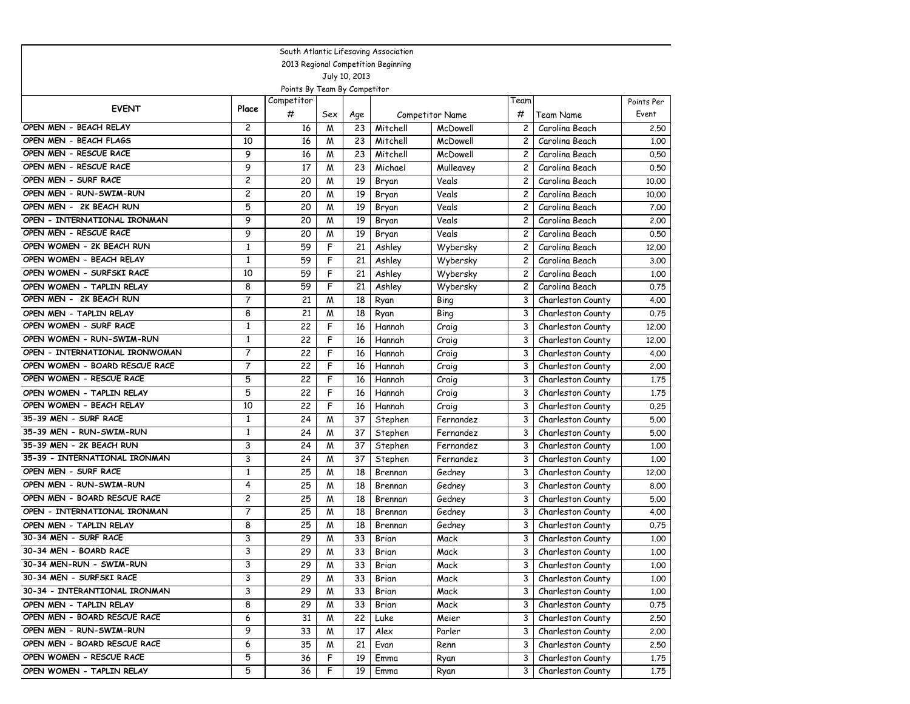|                                |                |                              |     |               | South Atlantic Lifesaving Association |                        |                |                   |            |
|--------------------------------|----------------|------------------------------|-----|---------------|---------------------------------------|------------------------|----------------|-------------------|------------|
|                                |                |                              |     |               | 2013 Regional Competition Beginning   |                        |                |                   |            |
|                                |                |                              |     | July 10, 2013 |                                       |                        |                |                   |            |
|                                |                | Points By Team By Competitor |     |               |                                       |                        |                |                   |            |
| <b>EVENT</b>                   | Place          | Competitor                   |     |               |                                       |                        | Team           |                   | Points Per |
|                                |                | #                            | Sex | Age           |                                       | <b>Competitor Name</b> | #              | Team Name         | Event      |
| OPEN MEN - BEACH RELAY         | $\overline{c}$ | 16                           | M   | 23            | Mitchell                              | McDowell               | 2              | Carolina Beach    | 2.50       |
| OPEN MEN - BEACH FLAGS         | 10             | 16                           | M   | 23            | Mitchell                              | McDowell               | $\overline{c}$ | Carolina Beach    | 1,00       |
| OPEN MEN - RESCUE RACE         | 9              | 16                           | M   | 23            | Mitchell                              | McDowell               | $\overline{c}$ | Carolina Beach    | 0.50       |
| OPEN MEN - RESCUE RACE         | 9              | 17                           | M   | 23            | Michael                               | Mulleavey              | $\mathbf{2}$   | Carolina Beach    | 0.50       |
| OPEN MEN - SURF RACE           | $\overline{c}$ | 20                           | M   | 19            | Bryan                                 | Veals                  | $\mathbf{2}$   | Carolina Beach    | 10.00      |
| OPEN MEN - RUN-SWIM-RUN        | $\overline{c}$ | 20                           | W   | 19            | Bryan                                 | Veals                  | $\overline{c}$ | Carolina Beach    | 10.00      |
| OPEN MEN - 2K BEACH RUN        | 5              | 20                           | M   | 19            | Bryan                                 | Veals                  | $\mathbf{2}$   | Carolina Beach    | 7.00       |
| OPEN - INTERNATIONAL IRONMAN   | 9              | 20                           | M   | 19            | Bryan                                 | Veals                  | $\overline{c}$ | Carolina Beach    | 2,00       |
| OPEN MEN - RESCUE RACE         | 9              | 20                           | M   | 19            | Bryan                                 | Veals                  | $\overline{c}$ | Carolina Beach    | 0.50       |
| OPEN WOMEN - 2K BEACH RUN      | $\mathbf{1}$   | 59                           | F   | 21            | Ashley                                | Wybersky               | $\overline{c}$ | Carolina Beach    | 12,00      |
| OPEN WOMEN - BEACH RELAY       | 1              | 59                           | F   | 21            | Ashley                                | Wybersky               | $\mathbf{2}$   | Carolina Beach    | 3.00       |
| OPEN WOMEN - SURFSKI RACE      | 10             | 59                           | F   | 21            | Ashley                                | Wybersky               | $\overline{c}$ | Carolina Beach    | 1,00       |
| OPEN WOMEN - TAPLIN RELAY      | 8              | 59                           | F   | 21            | Ashley                                | Wybersky               | $\mathbf{2}$   | Carolina Beach    | 0.75       |
| OPEN MEN - 2K BEACH RUN        | 7              | 21                           | M   | 18            | Ryan                                  | Bing                   | 3              | Charleston County | 4.00       |
| OPEN MEN - TAPLIN RELAY        | 8              | 21                           | M   | 18            | Ryan                                  | Bing                   | 3              | Charleston County | 0.75       |
| OPEN WOMEN - SURF RACE         | $\mathbf{1}$   | 22                           | F   | 16            | Hannah                                | Craig                  | 3              | Charleston County | 12,00      |
| OPEN WOMEN - RUN-SWIM-RUN      | $\mathbf{1}$   | 22                           | F   | 16            | Hannah                                | Craig                  | 3              | Charleston County | 12.00      |
| OPEN - INTERNATIONAL IRONWOMAN | $\overline{7}$ | 22                           | F   | 16            | Hannah                                | Craig                  | 3              | Charleston County | 4.00       |
| OPEN WOMEN - BOARD RESCUE RACE | $\overline{7}$ | 22                           | F   | 16            | Hannah                                | Craig                  | 3              | Charleston County | 2,00       |
| OPEN WOMEN - RESCUE RACE       | 5              | 22                           | F   | 16            | Hannah                                | Craig                  | 3              | Charleston County | 1.75       |
| OPEN WOMEN - TAPLIN RELAY      | 5              | 22                           | F   | 16            | Hannah                                | Craig                  | 3              | Charleston County | 1.75       |
| OPEN WOMEN - BEACH RELAY       | 10             | 22                           | F   | 16            | Hannah                                | Craig                  | 3              | Charleston County | 0.25       |
| 35-39 MEN - SURF RACE          | $\mathbf{1}$   | 24                           | W   | 37            | Stephen                               | Fernandez              | 3              | Charleston County | 5.00       |
| 35-39 MEN - RUN-SWIM-RUN       | 1              | 24                           | M   | 37            | Stephen                               | Fernandez              | 3              | Charleston County | 5.00       |
| 35-39 MEN - 2K BEACH RUN       | 3              | 24                           | M   | 37            | Stephen                               | Fernandez              | 3              | Charleston County | 1.00       |
| 35-39 - INTERNATIONAL IRONMAN  | 3              | 24                           | M   | 37            | Stephen                               | Fernandez              | 3              | Charleston County | 1,00       |
| OPEN MEN - SURF RACE           | $\mathbf{1}$   | 25                           | M   | 18            | Brennan                               | Gedney                 | 3              | Charleston County | 12,00      |
| OPEN MEN - RUN-SWIM-RUN        | 4              | 25                           | M   | 18            | Brennan                               | Gedney                 | 3              | Charleston County | 8.00       |
| OPEN MEN - BOARD RESCUE RACE   | $\overline{c}$ | 25                           | W   | 18            | Brennan                               | Gedney                 | 3              | Charleston County | 5.00       |
| OPEN - INTERNATIONAL IRONMAN   | $\overline{7}$ | 25                           | M   | 18            | Brennan                               | Gedney                 | 3              | Charleston County | 4.00       |
| OPEN MEN - TAPLIN RELAY        | 8              | 25                           | M   | 18            | Brennan                               | Gedney                 | 3              | Charleston County | 0.75       |
| 30-34 MEN - SURF RACE          | 3              | 29                           | M   | 33            | Brian                                 | Mack                   | 3              | Charleston County | 1,00       |
| 30-34 MEN - BOARD RACE         | 3              | 29                           | M   | 33            | Brian                                 | Mack                   | 3              | Charleston County | 1,00       |
| 30-34 MEN-RUN - SWIM-RUN       | 3              | 29                           | M   | 33            | Brian                                 | Mack                   | 3              | Charleston County | 1.00       |
| 30-34 MEN - SURFSKI RACE       | 3              | 29                           | M   | 33            | Brian                                 | Mack                   | 3              | Charleston County | 1.00       |
| 30-34 - INTERANTIONAL IRONMAN  | 3              | 29                           | M   | 33            | Brian                                 | Mack                   | 3              | Charleston County | 1.00       |
| OPEN MEN - TAPLIN RELAY        | 8              | 29                           | M   | 33            | Brian                                 | Mack                   | 3              | Charleston County | 0.75       |
| OPEN MEN - BOARD RESCUE RACE   | 6              | 31                           | M   | 22            | Luke                                  | Meier                  | 3              | Charleston County | 2.50       |
| OPEN MEN - RUN-SWIM-RUN        | 9              | 33                           | M   | 17            | Alex                                  | Parler                 | 3              | Charleston County | 2.00       |
| OPEN MEN - BOARD RESCUE RACE   | 6              | 35                           | M   | 21            | Evan                                  | Renn                   | 3              | Charleston County | 2.50       |
| OPEN WOMEN - RESCUE RACE       | 5              | 36                           | F   | 19            | Emma                                  | Ryan                   | 3              | Charleston County | 1.75       |
| OPEN WOMEN - TAPLIN RELAY      | 5              | 36                           | F   | 19            | Emma                                  | Ryan                   | 3              | Charleston County | 1,75       |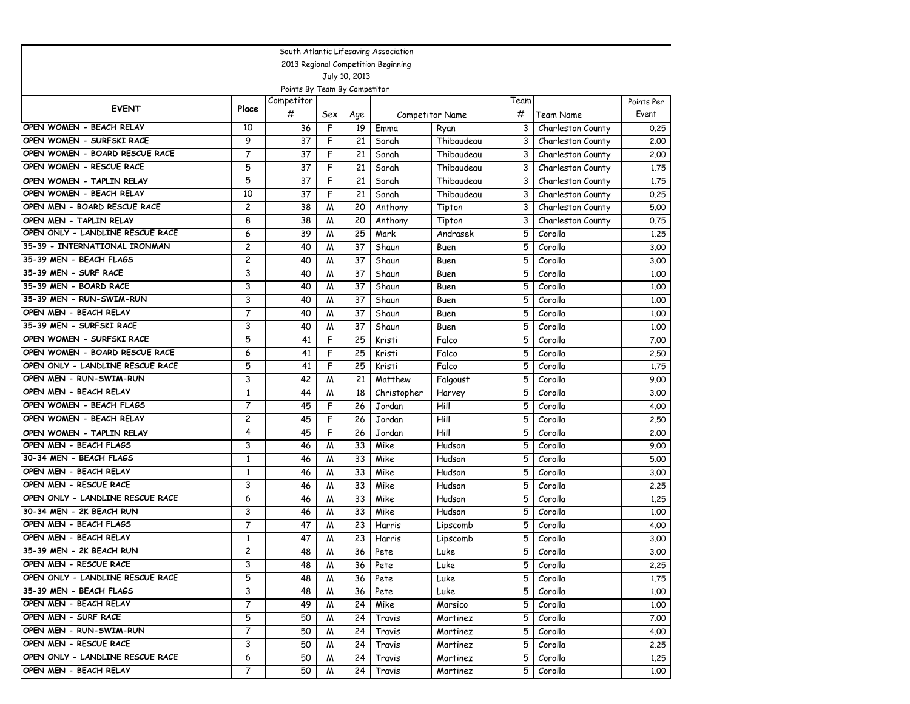| South Atlantic Lifesaving Association |                |                              |     |               |                                     |                        |      |                   |            |  |  |
|---------------------------------------|----------------|------------------------------|-----|---------------|-------------------------------------|------------------------|------|-------------------|------------|--|--|
|                                       |                |                              |     |               | 2013 Regional Competition Beginning |                        |      |                   |            |  |  |
|                                       |                |                              |     | July 10, 2013 |                                     |                        |      |                   |            |  |  |
|                                       |                | Points By Team By Competitor |     |               |                                     |                        |      |                   |            |  |  |
| <b>EVENT</b>                          | Place          | Competitor                   |     |               |                                     |                        | Team |                   | Points Per |  |  |
|                                       |                | #                            | Sex | Age           |                                     | <b>Competitor Name</b> | #    | Team Name         | Event      |  |  |
| OPEN WOMEN - BEACH RELAY              | 10             | 36                           | F   | 19            | Emma                                | Ryan                   | 3    | Charleston County | 0.25       |  |  |
| OPEN WOMEN - SURFSKI RACE             | 9              | 37                           | F   | 21            | Sarah                               | Thibaudeau             | 3    | Charleston County | 2.00       |  |  |
| OPEN WOMEN - BOARD RESCUE RACE        | 7              | 37                           | F   | 21            | Sarah                               | Thibaudeau             | 3    | Charleston County | 2,00       |  |  |
| OPEN WOMEN - RESCUE RACE              | 5              | 37                           | F   | 21            | Sarah                               | Thibaudeau             | 3    | Charleston County | 1.75       |  |  |
| OPEN WOMEN - TAPLIN RELAY             | 5              | 37                           | F   | 21            | Sarah                               | Thibaudeau             | 3    | Charleston County | 1,75       |  |  |
| OPEN WOMEN - BEACH RELAY              | 10             | 37                           | F   | 21            | Sarah                               | Thibaudeau             | 3    | Charleston County | 0.25       |  |  |
| OPEN MEN - BOARD RESCUE RACE          | 2              | 38                           | M   | 20            | Anthony                             | Tipton                 | 3    | Charleston County | 5.00       |  |  |
| OPEN MEN - TAPLIN RELAY               | 8              | 38                           | M   | 20            | Anthony                             | Tipton                 | 3    | Charleston County | 0.75       |  |  |
| OPEN ONLY - LANDLINE RESCUE RACE      | 6              | 39                           | M   | 25            | Mark                                | Andrasek               | 5    | Corolla           | 1,25       |  |  |
| 35-39 - INTERNATIONAL IRONMAN         | 2              | 40                           | M   | 37            | Shaun                               | Buen                   | 5    | Corolla           | 3.00       |  |  |
| 35-39 MEN - BEACH FLAGS               | 2              | 40                           | M   | 37            | Shaun                               | Buen                   | 5    | Corolla           | 3.00       |  |  |
| 35-39 MEN - SURF RACE                 | 3              | 40                           | M   | 37            | Shaun                               | Buen                   | 5    | Corolla           | 1.00       |  |  |
| 35-39 MEN - BOARD RACE                | 3              | 40                           | M   | 37            | Shaun                               | Buen                   | 5    | Corolla           | 1,00       |  |  |
| 35-39 MEN - RUN-SWIM-RUN              | 3              | 40                           | M   | 37            | Shaun                               | Buen                   | 5    | Corolla           | 1.00       |  |  |
| OPEN MEN - BEACH RELAY                | $\overline{7}$ | 40                           | M   | 37            | Shaun                               | Buen                   | 5    | Corolla           | 1.00       |  |  |
| 35-39 MEN - SURFSKI RACE              | 3              | 40                           | M   | 37            | Shaun                               | Buen                   | 5    | Corolla           | 1.00       |  |  |
| OPEN WOMEN - SURFSKI RACE             | 5              | 41                           | F   | 25            | Kristi                              | Falco                  | 5    | Corolla           | 7.00       |  |  |
| OPEN WOMEN - BOARD RESCUE RACE        | 6              | 41                           | F   | 25            | Kristi                              | Falco                  | 5    | Corolla           | 2.50       |  |  |
| OPEN ONLY - LANDLINE RESCUE RACE      | 5              | 41                           | F   | 25            | Kristi                              | Falco                  | 5    | Corolla           | 1.75       |  |  |
| OPEN MEN - RUN-SWIM-RUN               | 3              | 42                           | M   | 21            | Matthew                             | Falgoust               | 5    | Corolla           | 9.00       |  |  |
| OPEN MEN - BEACH RELAY                | $\mathbf{1}$   | 44                           | M   | 18            | Christopher                         | Harvey                 | 5    | Corolla           | 3.00       |  |  |
| OPEN WOMEN - BEACH FLAGS              | 7              | 45                           | F   | 26            | Jordan                              | Hill                   | 5    | Corolla           | 4.00       |  |  |
| OPEN WOMEN - BEACH RELAY              | $\overline{c}$ | 45                           | F   | 26            | Jordan                              | Hill                   | 5    | Corolla           | 2.50       |  |  |
| OPEN WOMEN - TAPLIN RELAY             | 4              | 45                           | F   | 26            | Jordan                              | Hill                   | 5    | Corolla           | 2,00       |  |  |
| OPEN MEN - BEACH FLAGS                | 3              | 46                           | M   | 33            | Mike                                | Hudson                 | 5    | Corolla           | 9.00       |  |  |
| 30-34 MEN - BEACH FLAGS               | $\mathbf{1}$   | 46                           | M   | 33            | Mike                                | Hudson                 | 5    | Corolla           | 5.00       |  |  |
| OPEN MEN - BEACH RELAY                | $\mathbf{1}$   | 46                           | M   | 33            | Mike                                | Hudson                 | 5    | Corolla           | 3.00       |  |  |
| OPEN MEN - RESCUE RACE                | 3              | 46                           | M   | 33            | Mike                                | Hudson                 | 5    | Corolla           | 2.25       |  |  |
| OPEN ONLY - LANDLINE RESCUE RACE      | 6              | 46                           | M   | 33            | Mike                                | Hudson                 | 5    | Corolla           | 1,25       |  |  |
| 30-34 MEN - 2K BEACH RUN              | 3              | 46                           | W   | 33            | Mike                                | Hudson                 | 5    | Corolla           | 1.00       |  |  |
| OPEN MEN - BEACH FLAGS                | $\overline{7}$ | 47                           | W   | 23            | Harris                              | Lipscomb               | 5    | Corolla           | 4.00       |  |  |
| OPEN MEN - BEACH RELAY                | 1              | 47                           | M   | 23            | Harris                              | Lipscomb               | 5    | Corolla           | 3.00       |  |  |
| 35-39 MEN - 2K BEACH RUN              | $\overline{c}$ | 48                           | M   | 36            | Pete                                | Luke                   | 5    | Corolla           | 3.00       |  |  |
| OPEN MEN - RESCUE RACE                | 3              | 48                           | M   | 36            | Pete                                | Luke                   | 5    | Corolla           | 2.25       |  |  |
| OPEN ONLY - LANDLINE RESCUE RACE      | 5              | 48                           | M   | 36            | Pete                                | Luke                   | 5    | Corolla           | 1.75       |  |  |
| 35-39 MEN - BEACH FLAGS               | 3              | 48                           | M   | 36            | Pete                                | Luke                   | 5    | Corolla           | 1.00       |  |  |
| OPEN MEN - BEACH RELAY                | 7              | 49                           | M   | 24            | Mike                                | Marsico                | 5    | Corolla           | 1.00       |  |  |
| OPEN MEN - SURF RACE                  | 5              | 50                           | W   | 24            | Travis                              | Martinez               | 5    | Corolla           | 7.00       |  |  |
| OPEN MEN - RUN-SWIM-RUN               | 7              | 50                           | M   | 24            | Travis                              | Martinez               | 5    | Corolla           | 4.00       |  |  |
| OPEN MEN - RESCUE RACE                | 3              | 50                           | M   | 24            | Travis                              | Martinez               | 5    | Corolla           | 2.25       |  |  |
| OPEN ONLY - LANDLINE RESCUE RACE      | 6              | 50                           | M   | 24            | Travis                              | Martinez               | 5    | Corolla           | 1,25       |  |  |
| OPEN MEN - BEACH RELAY                | 7              | 50                           | M   | 24            | Travis                              | Martinez               | 5    | Corolla           | 1.00       |  |  |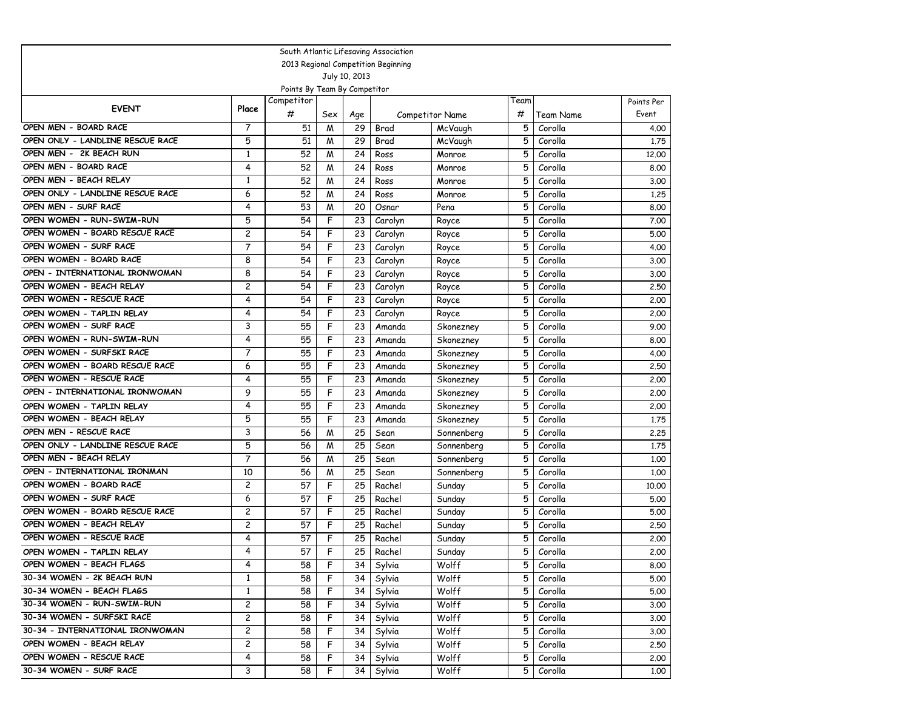| South Atlantic Lifesaving Association |                |                              |     |               |                                     |                 |      |           |            |  |  |
|---------------------------------------|----------------|------------------------------|-----|---------------|-------------------------------------|-----------------|------|-----------|------------|--|--|
|                                       |                |                              |     |               | 2013 Regional Competition Beginning |                 |      |           |            |  |  |
|                                       |                |                              |     | July 10, 2013 |                                     |                 |      |           |            |  |  |
|                                       |                | Points By Team By Competitor |     |               |                                     |                 |      |           |            |  |  |
| <b>EVENT</b>                          | Place          | Competitor                   |     |               |                                     |                 | Team |           | Points Per |  |  |
|                                       |                | #                            | Sex | Age           |                                     | Competitor Name | #    | Team Name | Event      |  |  |
| OPEN MEN - BOARD RACE                 | 7              | 51                           | M   | 29            | Brad                                | McVaugh         | 5    | Corolla   | 4.00       |  |  |
| OPEN ONLY - LANDLINE RESCUE RACE      | 5              | 51                           | M   | 29            | Brad                                | McVaugh         | 5    | Corolla   | 1.75       |  |  |
| OPEN MEN - 2K BEACH RUN               | $\mathbf{1}$   | 52                           | M   | 24            | Ross                                | Monroe          | 5    | Corolla   | 12,00      |  |  |
| OPEN MEN - BOARD RACE                 | 4              | 52                           | M   | 24            | Ross                                | Monroe          | 5    | Corolla   | 8.00       |  |  |
| OPEN MEN - BEACH RELAY                | $\mathbf{1}$   | 52                           | M   | 24            | Ross                                | Monroe          | 5    | Corolla   | 3.00       |  |  |
| OPEN ONLY - LANDLINE RESCUE RACE      | 6              | 52                           | М   | 24            | Ross                                | Monroe          | 5    | Corolla   | 1,25       |  |  |
| OPEN MEN - SURF RACE                  | 4              | 53                           | M   | 20            | Osnar                               | Pena            | 5    | Corolla   | 8.00       |  |  |
| OPEN WOMEN - RUN-SWIM-RUN             | 5              | 54                           | F   | 23            | Carolyn                             | Royce           | 5    | Corolla   | 7.00       |  |  |
| OPEN WOMEN - BOARD RESCUE RACE        | 2              | 54                           | F   | 23            | Carolyn                             | Royce           | 5    | Corolla   | 5.00       |  |  |
| OPEN WOMEN - SURF RACE                | 7              | 54                           | F   | 23            | Carolyn                             | Royce           | 5    | Corolla   | 4.00       |  |  |
| OPEN WOMEN - BOARD RACE               | 8              | 54                           | F   | 23            | Carolyn                             | Royce           | 5    | Corolla   | 3.00       |  |  |
| OPEN - INTERNATIONAL IRONWOMAN        | 8              | 54                           | F   | 23            | Carolyn                             | Royce           | 5    | Corolla   | 3.00       |  |  |
| OPEN WOMEN - BEACH RELAY              | 2              | 54                           | F   | 23            | Carolyn                             | Royce           | 5    | Corolla   | 2.50       |  |  |
| OPEN WOMEN - RESCUE RACE              | 4              | 54                           | F   | 23            | Carolyn                             | Royce           | 5    | Corolla   | 2.00       |  |  |
| OPEN WOMEN - TAPLIN RELAY             | 4              | 54                           | F   | 23            | Carolyn                             | Royce           | 5    | Corolla   | 2.00       |  |  |
| OPEN WOMEN - SURF RACE                | 3              | 55                           | F   | 23            | Amanda                              | Skonezney       | 5    | Corolla   | 9.00       |  |  |
| OPEN WOMEN - RUN-SWIM-RUN             | 4              | 55                           | F   | 23            | Amanda                              | Skonezney       | 5    | Corolla   | 8.00       |  |  |
| OPEN WOMEN - SURFSKI RACE             | 7              | 55                           | F   | 23            | Amanda                              | Skonezney       | 5    | Corolla   | 4.00       |  |  |
| OPEN WOMEN - BOARD RESCUE RACE        | 6              | 55                           | F   | 23            | Amanda                              | Skonezney       | 5    | Corolla   | 2.50       |  |  |
| OPEN WOMEN - RESCUE RACE              | 4              | 55                           | F   | 23            | Amanda                              | Skonezney       | 5    | Corolla   | 2,00       |  |  |
| OPEN - INTERNATIONAL IRONWOMAN        | 9              | 55                           | F   | 23            | Amanda                              | Skonezney       | 5    | Corolla   | 2,00       |  |  |
| OPEN WOMEN - TAPLIN RELAY             | 4              | 55                           | F   | 23            | Amanda                              | Skonezney       | 5    | Corolla   | 2.00       |  |  |
| OPEN WOMEN - BEACH RELAY              | 5              | 55                           | F   | 23            | Amanda                              | Skonezney       | 5    | Corolla   | 1.75       |  |  |
| OPEN MEN - RESCUE RACE                | 3              | 56                           | M   | 25            | Sean                                | Sonnenberg      | 5    | Corolla   | 2.25       |  |  |
| OPEN ONLY - LANDLINE RESCUE RACE      | 5              | 56                           | M   | 25            | Sean                                | Sonnenberg      | 5    | Corolla   | 1.75       |  |  |
| OPEN MEN - BEACH RELAY                | $\overline{7}$ | 56                           | M   | 25            | Sean                                | Sonnenberg      | 5    | Corolla   | 1.00       |  |  |
| OPEN - INTERNATIONAL IRONMAN          | 10             | 56                           | M   | 25            | Sean                                | Sonnenberg      | 5    | Corolla   | 1.00       |  |  |
| OPEN WOMEN - BOARD RACE               | $\overline{c}$ | 57                           | F   | 25            | Rachel                              | Sunday          | 5    | Corolla   | 10.00      |  |  |
| OPEN WOMEN - SURF RACE                | 6              | 57                           | F   | 25            | Rachel                              | Sunday          | 5    | Corolla   | 5.00       |  |  |
| OPEN WOMEN - BOARD RESCUE RACE        | $\overline{c}$ | 57                           | F   | 25            | Rachel                              | Sunday          | 5    | Corolla   | 5.00       |  |  |
| OPEN WOMEN - BEACH RELAY              | 2              | 57                           | F   | 25            | Rachel                              | Sunday          | 5    | Corolla   | 2.50       |  |  |
| OPEN WOMEN - RESCUE RACE              | 4              | 57                           | F   | 25            | Rachel                              | Sunday          | 5    | Corolla   | 2.00       |  |  |
| OPEN WOMEN - TAPLIN RELAY             | 4              | 57                           | F   | 25            | Rachel                              | Sunday          | 5    | Corolla   | 2.00       |  |  |
| OPEN WOMEN - BEACH FLAGS              | 4              | 58                           | F   | 34            | Sylvia                              | Wolff           | 5    | Corolla   | 8.00       |  |  |
| 30-34 WOMEN - 2K BEACH RUN            | $\mathbf{1}$   | 58                           | F   | 34            | Sylvia                              | Wolff           | 5    | Corolla   | 5.00       |  |  |
| 30-34 WOMEN - BEACH FLAGS             | $\mathbf{1}$   | 58                           | F   | 34            | Sylvia                              | Wolff           | 5    | Corolla   | 5.00       |  |  |
| 30-34 WOMEN - RUN-SWIM-RUN            | 2              | 58                           | F   | 34            | Sylvia                              | Wolff           | 5    | Corolla   | 3.00       |  |  |
| 30-34 WOMEN - SURFSKI RACE            | $\overline{c}$ | 58                           | F   | 34            | Sylvia                              | Wolff           | 5    | Corolla   | 3.00       |  |  |
| 30-34 - INTERNATIONAL IRONWOMAN       | 2              | 58                           | F   | 34            | Sylvia                              | Wolff           | 5    | Corolla   | 3.00       |  |  |
| OPEN WOMEN - BEACH RELAY              | 2              | 58                           | F   | 34            | Sylvia                              | Wolff           | 5    | Corolla   | 2.50       |  |  |
| OPEN WOMEN - RESCUE RACE              | 4              | 58                           | F   | 34            | Sylvia                              | Wolff           | 5    | Corolla   | 2.00       |  |  |
| 30-34 WOMEN - SURF RACE               | 3              | 58                           | F   | 34            | Sylvia                              | Wolff           | 5    | Corolla   | 1.00       |  |  |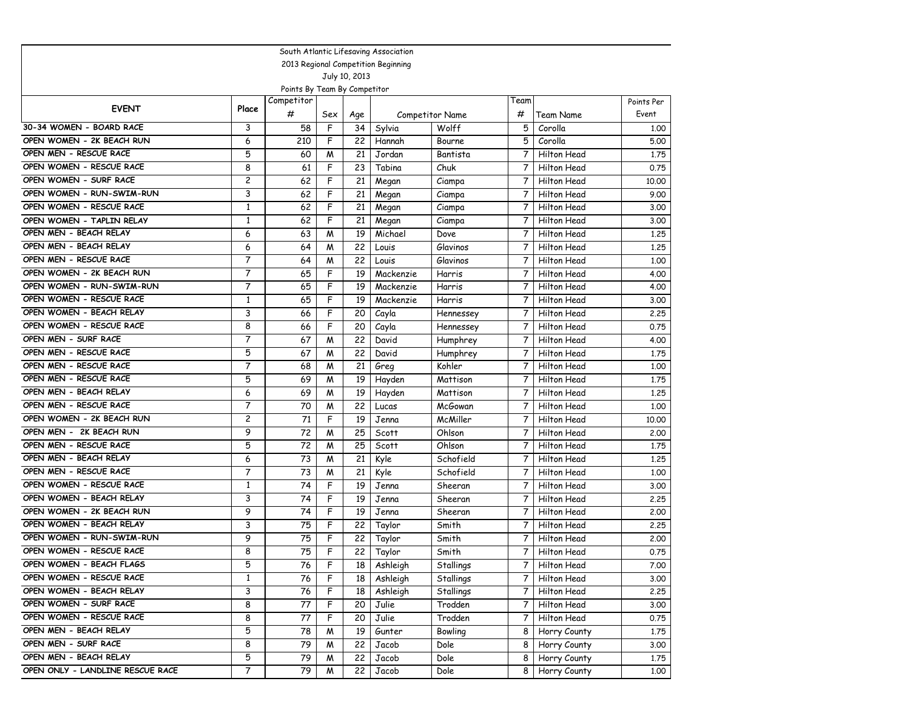| South Atlantic Lifesaving Association |                |                              |     |               |                                     |                 |                |                    |            |  |  |  |
|---------------------------------------|----------------|------------------------------|-----|---------------|-------------------------------------|-----------------|----------------|--------------------|------------|--|--|--|
|                                       |                |                              |     |               | 2013 Regional Competition Beginning |                 |                |                    |            |  |  |  |
|                                       |                |                              |     | July 10, 2013 |                                     |                 |                |                    |            |  |  |  |
|                                       |                | Points By Team By Competitor |     |               |                                     |                 |                |                    |            |  |  |  |
| <b>EVENT</b>                          | Place          | Competitor                   |     |               |                                     |                 | Team           |                    | Points Per |  |  |  |
|                                       |                | #                            | Sex | Age           |                                     | Competitor Name | #              | Team Name          | Event      |  |  |  |
| 30-34 WOMEN - BOARD RACE              | 3              | 58                           | F   | 34            | Sylvia                              | Wolff           | 5              | Corolla            | 1,00       |  |  |  |
| OPEN WOMEN - 2K BEACH RUN             | 6              | 210                          | F   | 22            | Hannah                              | Bourne          | 5              | Corolla            | 5.00       |  |  |  |
| OPEN MEN - RESCUE RACE                | 5              | 60                           | M   | 21            | Jordan                              | Bantista        | 7              | Hilton Head        | 1.75       |  |  |  |
| OPEN WOMEN - RESCUE RACE              | 8              | 61                           | F   | 23            | Tabina                              | Chuk            | 7              | Hilton Head        | 0.75       |  |  |  |
| OPEN WOMEN - SURF RACE                | $\overline{c}$ | 62                           | F   | 21            | Megan                               | Ciampa          | 7              | Hilton Head        | 10.00      |  |  |  |
| OPEN WOMEN - RUN-SWIM-RUN             | 3              | 62                           | F   | 21            | Megan                               | Ciampa          | 7              | Hilton Head        | 9.00       |  |  |  |
| OPEN WOMEN - RESCUE RACE              | 1              | 62                           | F   | 21            | Megan                               | Ciampa          | 7              | <b>Hilton Head</b> | 3.00       |  |  |  |
| OPEN WOMEN - TAPLIN RELAY             | $\mathbf{1}$   | 62                           | F   | 21            | Megan                               | Ciampa          | 7              | <b>Hilton Head</b> | 3.00       |  |  |  |
| OPEN MEN - BEACH RELAY                | 6              | 63                           | M   | 19            | Michael                             | Dove            | 7              | Hilton Head        | 1,25       |  |  |  |
| OPEN MEN - BEACH RELAY                | 6              | 64                           | M   | 22            | Louis                               | Glavinos        | 7              | <b>Hilton Head</b> | 1,25       |  |  |  |
| OPEN MEN - RESCUE RACE                | 7              | 64                           | M   | 22            | Louis                               | Glavinos        | 7              | <b>Hilton Head</b> | 1.00       |  |  |  |
| OPEN WOMEN - 2K BEACH RUN             | 7              | 65                           | F   | 19            | Mackenzie                           | Harris          | 7              | Hilton Head        | 4.00       |  |  |  |
| OPEN WOMEN - RUN-SWIM-RUN             | 7              | 65                           | F   | 19            | Mackenzie                           | Harris          | 7              | <b>Hilton Head</b> | 4.00       |  |  |  |
| OPEN WOMEN - RESCUE RACE              | $\mathbf{1}$   | 65                           | F   | 19            | Mackenzie                           | Harris          | 7              | <b>Hilton Head</b> | 3.00       |  |  |  |
| OPEN WOMEN - BEACH RELAY              | 3              | 66                           | F   | 20            | Cayla                               | Hennessey       | 7              | Hilton Head        | 2.25       |  |  |  |
| OPEN WOMEN - RESCUE RACE              | 8              | 66                           | F   | 20            | Cayla                               | Hennessey       | 7              | Hilton Head        | 0.75       |  |  |  |
| OPEN MEN - SURF RACE                  | $\overline{7}$ | 67                           | M   | 22            | David                               | Humphrey        | 7              | Hilton Head        | 4.00       |  |  |  |
| OPEN MEN - RESCUE RACE                | 5              | 67                           | M   | 22            | David                               | Humphrey        | $\overline{7}$ | Hilton Head        | 1.75       |  |  |  |
| OPEN MEN - RESCUE RACE                | $\overline{7}$ | 68                           | M   | 21            | Greg                                | Kohler          | 7              | Hilton Head        | 1,00       |  |  |  |
| OPEN MEN - RESCUE RACE                | 5              | 69                           | M   | 19            | Hayden                              | Mattison        | 7              | Hilton Head        | 1,75       |  |  |  |
| OPEN MEN - BEACH RELAY                | 6              | 69                           | M   | 19            | Hayden                              | Mattison        | 7              | <b>Hilton Head</b> | 1,25       |  |  |  |
| OPEN MEN - RESCUE RACE                | $\overline{7}$ | 70                           | M   | 22            | Lucas                               | <b>McGowan</b>  |                | <b>Hilton Head</b> | 1.00       |  |  |  |
| OPEN WOMEN - 2K BEACH RUN             | 2              | 71                           | F   | 19            | Jenna                               | McMiller        | 7              | Hilton Head        | 10.00      |  |  |  |
| OPEN MEN - 2K BEACH RUN               | 9              | 72                           | M   | 25            | Scott                               | Ohlson          | 7              | Hilton Head        | 2.00       |  |  |  |
| OPEN MEN - RESCUE RACE                | 5              | 72                           | M   | 25            | Scott                               | Ohlson          | 7              | <b>Hilton Head</b> | 1,75       |  |  |  |
| OPEN MEN - BEACH RELAY                | 6              | 73                           | M   | 21            | Kyle                                | Schofield       |                | <b>Hilton Head</b> | 1,25       |  |  |  |
| OPEN MEN - RESCUE RACE                | $\overline{7}$ | 73                           | M   | 21            | Kyle                                | Schofield       | 7              | Hilton Head        | 1,00       |  |  |  |
| OPEN WOMEN - RESCUE RACE              | $\mathbf{1}$   | 74                           | F   | 19            | Jenna                               | Sheeran         | 7              | Hilton Head        | 3.00       |  |  |  |
| OPEN WOMEN - BEACH RELAY              | 3              | 74                           | F   | 19            | Jenna                               | Sheeran         | 7              | Hilton Head        | 2.25       |  |  |  |
| OPEN WOMEN - 2K BEACH RUN             | 9              | 74                           | F   | 19            | Jenna                               | Sheeran         | 7              | Hilton Head        | 2.00       |  |  |  |
| OPEN WOMEN - BEACH RELAY              | 3              | 75                           | F   | 22            | Taylor                              | Smith           | 7              | <b>Hilton Head</b> | 2.25       |  |  |  |
| OPEN WOMEN - RUN-SWIM-RUN             | 9              | 75                           | F   | 22            | Taylor                              | Smith           | 7              | Hilton Head        | 2,00       |  |  |  |
| OPEN WOMEN - RESCUE RACE              | 8              | 75                           | F   | 22            | Taylor                              | Smith           | 7              | Hilton Head        | 0.75       |  |  |  |
| OPEN WOMEN - BEACH FLAGS              | 5              | 76                           | F   | 18            | Ashleigh                            | Stallings       | 7              | Hilton Head        | 7.00       |  |  |  |
| OPEN WOMEN - RESCUE RACE              | $\mathbf{1}$   | $\overline{76}$              | F   | 18            | Ashleigh                            | Stallings       | 7              | Hilton Head        | 3.00       |  |  |  |
| OPEN WOMEN - BEACH RELAY              | 3              | 76                           | F   | 18            | Ashleigh                            | Stallings       | 7              | Hilton Head        | 2.25       |  |  |  |
| OPEN WOMEN - SURF RACE                | 8              | 77                           | F   | 20            | Julie                               | Trodden         | 7              | Hilton Head        | 3.00       |  |  |  |
| OPEN WOMEN - RESCUE RACE              | 8              | 77                           | F   | 20            | Julie                               | Trodden         | 7              | Hilton Head        | 0.75       |  |  |  |
| OPEN MEN - BEACH RELAY                | 5              | 78                           | M   | 19            | Gunter                              | Bowling         | 8              | Horry County       | 1.75       |  |  |  |
| OPEN MEN - SURF RACE                  | 8              | 79                           | M   | 22            | Jacob                               | Dole            | 8              | Horry County       | 3.00       |  |  |  |
| OPEN MEN - BEACH RELAY                | 5              | 79                           | M   | 22            | Jacob                               | Dole            | 8              | Horry County       | 1.75       |  |  |  |
| OPEN ONLY - LANDLINE RESCUE RACE      | 7              | 79                           | M   | 22            | Jacob                               | Dole            | 8              | Horry County       | 1.00       |  |  |  |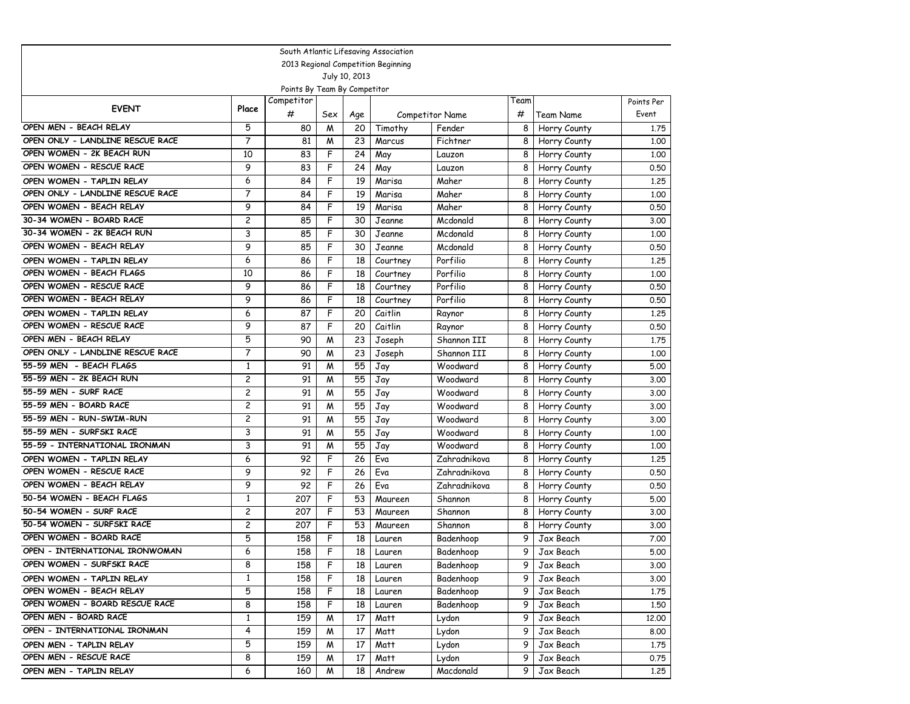| South Atlantic Lifesaving Association |                |                              |     |               |                                     |                        |      |              |            |  |  |
|---------------------------------------|----------------|------------------------------|-----|---------------|-------------------------------------|------------------------|------|--------------|------------|--|--|
|                                       |                |                              |     |               | 2013 Regional Competition Beginning |                        |      |              |            |  |  |
|                                       |                |                              |     | July 10, 2013 |                                     |                        |      |              |            |  |  |
|                                       |                | Points By Team By Competitor |     |               |                                     |                        |      |              |            |  |  |
| <b>EVENT</b>                          | Place          | Competitor                   |     |               |                                     |                        | Team |              | Points Per |  |  |
|                                       |                | #                            | Sex | Age           |                                     | <b>Competitor Name</b> | #    | Team Name    | Event      |  |  |
| OPEN MEN - BEACH RELAY                | 5              | 80                           | M   | 20            | Timothy                             | Fender                 | 8    | Horry County | 1,75       |  |  |
| OPEN ONLY - LANDLINE RESCUE RACE      | 7              | 81                           | M   | 23            | Marcus                              | Fichtner               | 8    | Horry County | 1,00       |  |  |
| OPEN WOMEN - 2K BEACH RUN             | 10             | 83                           | F   | 24            | May                                 | Lauzon                 | 8    | Horry County | 1,00       |  |  |
| OPEN WOMEN - RESCUE RACE              | 9              | 83                           | F   | 24            | May                                 | Lauzon                 | 8    | Horry County | 0.50       |  |  |
| OPEN WOMEN - TAPLIN RELAY             | 6              | 84                           | F   | 19            | Marisa                              | Maher                  | 8    | Horry County | 1.25       |  |  |
| OPEN ONLY - LANDLINE RESCUE RACE      | $\overline{7}$ | 84                           | F   | 19            | Marisa                              | Maher                  | 8    | Horry County | 1,00       |  |  |
| OPEN WOMEN - BEACH RELAY              | 9              | 84                           | F   | 19            | Marisa                              | Maher                  | 8    | Horry County | 0.50       |  |  |
| 30-34 WOMEN - BOARD RACE              | 2              | 85                           | F   | 30            | Jeanne                              | Mcdonald               | 8    | Horry County | 3.00       |  |  |
| 30-34 WOMEN - 2K BEACH RUN            | 3              | 85                           | F   | 30            | Jeanne                              | Mcdonald               | 8    | Horry County | 1.00       |  |  |
| OPEN WOMEN - BEACH RELAY              | 9              | 85                           | F   | 30            | Jeanne                              | Mcdonald               | 8    | Horry County | 0.50       |  |  |
| OPEN WOMEN - TAPLIN RELAY             | 6              | 86                           | F   | 18            | Courtney                            | Porfilio               | 8    | Horry County | 1,25       |  |  |
| OPEN WOMEN - BEACH FLAGS              | 10             | 86                           | F   | 18            | Courtney                            | Porfilio               | 8    | Horry County | 1.00       |  |  |
| OPEN WOMEN - RESCUE RACE              | 9              | 86                           | F   | 18            | Courtney                            | Porfilio               | 8    | Horry County | 0.50       |  |  |
| OPEN WOMEN - BEACH RELAY              | 9              | 86                           | F   | 18            | Courtney                            | Porfilio               | 8    | Horry County | 0.50       |  |  |
| OPEN WOMEN - TAPLIN RELAY             | 6              | 87                           | F   | 20            | Caitlin                             | Raynor                 | 8    | Horry County | 1,25       |  |  |
| OPEN WOMEN - RESCUE RACE              | 9              | 87                           | F   | 20            | Caitlin                             | Raynor                 | 8    | Horry County | 0.50       |  |  |
| OPEN MEN - BEACH RELAY                | 5              | 90                           | M   | 23            | Joseph                              | Shannon III            | 8    | Horry County | 1.75       |  |  |
| OPEN ONLY - LANDLINE RESCUE RACE      | 7              | 90                           | M   | 23            | Joseph                              | Shannon III            | 8    | Horry County | 1.00       |  |  |
| 55-59 MEN - BEACH FLAGS               | $\mathbf{1}$   | 91                           | M   | 55            | Jay                                 | Woodward               | 8    | Horry County | 5.00       |  |  |
| 55-59 MEN - 2K BEACH RUN              | 2              | 91                           | M   | 55            | Jay                                 | Woodward               | 8    | Horry County | 3.00       |  |  |
| 55-59 MEN - SURF RACE                 | 2              | 91                           | M   | 55            | Jay                                 | Woodward               | 8    | Horry County | 3.00       |  |  |
| 55-59 MEN - BOARD RACE                | 2              | 91                           | M   | 55            | Jay                                 | Woodward               | 8    | Horry County | 3.00       |  |  |
| 55-59 MEN - RUN-SWIM-RUN              | 2              | 91                           | M   | 55            | Jay                                 | Woodward               | 8    | Horry County | 3.00       |  |  |
| 55-59 MEN - SURFSKI RACE              | 3              | 91                           | M   | 55            | Jay                                 | Woodward               | 8    | Horry County | 1,00       |  |  |
| 55-59 - INTERNATIONAL IRONMAN         | 3              | 91                           | M   | 55            | Jay                                 | Woodward               | 8    | Horry County | 1,00       |  |  |
| OPEN WOMEN - TAPLIN RELAY             | 6              | 92                           | F   | 26            | Eva                                 | Zahradnikova           | 8    | Horry County | 1,25       |  |  |
| OPEN WOMEN - RESCUE RACE              | 9              | 92                           | F   | 26            | Eva                                 | Zahradnikova           | 8    | Horry County | 0.50       |  |  |
| OPEN WOMEN - BEACH RELAY              | 9              | 92                           | F   | 26            | Eva                                 | Zahradnikova           | 8    | Horry County | 0.50       |  |  |
| 50-54 WOMEN - BEACH FLAGS             | $\mathbf{1}$   | 207                          | F   | 53            | Maureen                             | Shannon                | 8    | Horry County | 5.00       |  |  |
| 50-54 WOMEN - SURF RACE               | 2              | 207                          | F   | 53            | Maureen                             | Shannon                | 8    | Horry County | 3.00       |  |  |
| 50-54 WOMEN - SURFSKI RACE            | $\overline{c}$ | 207                          | F   | 53            | Maureen                             | Shannon                | 8    | Horry County | 3.00       |  |  |
| OPEN WOMEN - BOARD RACE               | 5              | 158                          | F   | 18            | Lauren                              | Badenhoop              | 9    | Jax Beach    | 7.00       |  |  |
| OPEN - INTERNATIONAL IRONWOMAN        | 6              | 158                          | F   | 18            | Lauren                              | Badenhoop              | 9    | Jax Beach    | 5.00       |  |  |
| OPEN WOMEN - SURFSKI RACE             | 8              | 158                          | F   | 18            | Lauren                              | Badenhoop              | 9    | Jax Beach    | 3.00       |  |  |
| OPEN WOMEN - TAPLIN RELAY             | $\mathbf{1}$   | 158                          | F   | 18            | Lauren                              | Badenhoop              | 9    | Jax Beach    | 3.00       |  |  |
| OPEN WOMEN - BEACH RELAY              | 5              | 158                          | F   | 18            | Lauren                              | Badenhoop              | 9    | Jax Beach    | 1.75       |  |  |
| OPEN WOMEN - BOARD RESCUE RACE        | 8              | 158                          | F   | 18            | Lauren                              | Badenhoop              | 9    | Jax Beach    | 1,50       |  |  |
| OPEN MEN - BOARD RACE                 | $\mathbf{1}$   | 159                          | M   | 17            | Matt                                | Lydon                  | 9    | Jax Beach    | 12.00      |  |  |
| OPEN - INTERNATIONAL IRONMAN          | 4              | 159                          | M   | 17            | Matt                                | Lydon                  | 9    | Jax Beach    | 8.00       |  |  |
| OPEN MEN - TAPLIN RELAY               | 5              | 159                          | M   | 17            | Matt                                | Lydon                  | 9    | Jax Beach    | 1.75       |  |  |
| OPEN MEN - RESCUE RACE                | 8              | 159                          | M   | 17            | Matt                                | Lydon                  | 9    | Jax Beach    | 0.75       |  |  |
| OPEN MEN - TAPLIN RELAY               | 6              | 160                          | M   | 18            | Andrew                              | Macdonald              | 9    | Jax Beach    | 1.25       |  |  |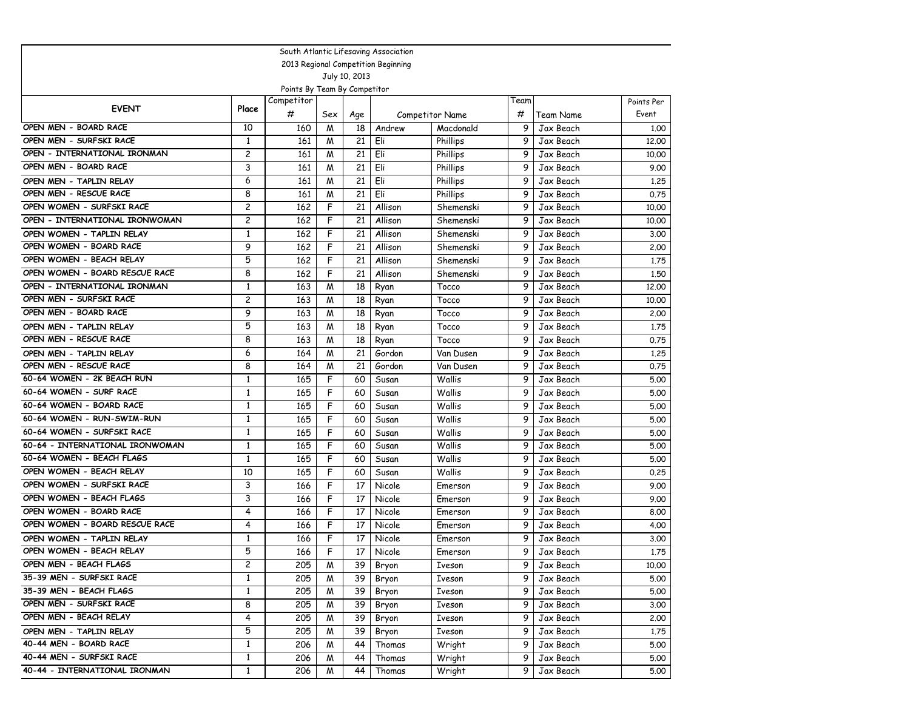| South Atlantic Lifesaving Association |                |                              |     |               |                                     |                 |      |           |            |  |  |
|---------------------------------------|----------------|------------------------------|-----|---------------|-------------------------------------|-----------------|------|-----------|------------|--|--|
|                                       |                |                              |     |               | 2013 Regional Competition Beginning |                 |      |           |            |  |  |
|                                       |                |                              |     | July 10, 2013 |                                     |                 |      |           |            |  |  |
|                                       |                | Points By Team By Competitor |     |               |                                     |                 |      |           |            |  |  |
| <b>EVENT</b>                          | Place          | Competitor                   |     |               |                                     |                 | Team |           | Points Per |  |  |
|                                       |                | #                            | Sex | Age           |                                     | Competitor Name | #    | Team Name | Event      |  |  |
| OPEN MEN - BOARD RACE                 | 10             | 160                          | M   | 18            | Andrew                              | Macdonald       | 9    | Jax Beach | 1,00       |  |  |
| OPEN MEN - SURFSKI RACE               | $\mathbf{1}$   | 161                          | M   | 21            | Eli                                 | Phillips        | 9    | Jax Beach | 12,00      |  |  |
| OPEN - INTERNATIONAL IRONMAN          | $\overline{c}$ | 161                          | M   | 21            | Eli                                 | Phillips        | 9    | Jax Beach | 10.00      |  |  |
| OPEN MEN - BOARD RACE                 | 3              | 161                          | M   | 21            | Eli                                 | Phillips        | 9    | Jax Beach | 9.00       |  |  |
| OPEN MEN - TAPLIN RELAY               | 6              | 161                          | M   | 21            | Eli                                 | Phillips        | 9    | Jax Beach | 1,25       |  |  |
| OPEN MEN - RESCUE RACE                | 8              | 161                          | M   | 21            | Eli                                 | Phillips        | 9    | Jax Beach | 0.75       |  |  |
| OPEN WOMEN - SURFSKI RACE             | 2              | 162                          | F   | 21            | Allison                             | Shemenski       | 9    | Jax Beach | 10.00      |  |  |
| OPEN - INTERNATIONAL IRONWOMAN        | $\overline{c}$ | 162                          | F   | 21            | Allison                             | Shemenski       | 9    | Jax Beach | 10.00      |  |  |
| OPEN WOMEN - TAPLIN RELAY             | $\mathbf{1}$   | 162                          | F   | 21            | Allison                             | Shemenski       | 9    | Jax Beach | 3.00       |  |  |
| OPEN WOMEN - BOARD RACE               | 9              | 162                          | F   | 21            | Allison                             | Shemenski       | 9    | Jax Beach | 2,00       |  |  |
| OPEN WOMEN - BEACH RELAY              | 5              | 162                          | F   | 21            | Allison                             | Shemenski       | 9    | Jax Beach | 1,75       |  |  |
| OPEN WOMEN - BOARD RESCUE RACE        | 8              | 162                          | F   | 21            | Allison                             | Shemenski       | 9    | Jax Beach | 1,50       |  |  |
| OPEN - INTERNATIONAL IRONMAN          | $\mathbf{1}$   | 163                          | М   | 18            | Ryan                                | Tocco           | 9    | Jax Beach | 12,00      |  |  |
| OPEN MEN - SURFSKI RACE               | 2              | 163                          | М   | 18            | Ryan                                | Tocco           | 9    | Jax Beach | 10.00      |  |  |
| OPEN MEN - BOARD RACE                 | 9              | 163                          | M   | 18            | Ryan                                | Tocco           | 9    | Jax Beach | 2,00       |  |  |
| OPEN MEN - TAPLIN RELAY               | 5              | 163                          | M   | 18            | Ryan                                | Tocco           | 9    | Jax Beach | 1.75       |  |  |
| OPEN MEN - RESCUE RACE                | 8              | 163                          | M   | 18            | Ryan                                | Tocco           | 9    | Jax Beach | 0.75       |  |  |
| OPEN MEN - TAPLIN RELAY               | 6              | 164                          | M   | 21            | Gordon                              | Van Dusen       | 9    | Jax Beach | 1,25       |  |  |
| OPEN MEN - RESCUE RACE                | 8              | 164                          | М   | 21            | Gordon                              | Van Dusen       | 9    | Jax Beach | 0.75       |  |  |
| 60-64 WOMEN - 2K BEACH RUN            | $\mathbf{1}$   | 165                          | F   | 60            | Susan                               | Wallis          | 9    | Jax Beach | 5.00       |  |  |
| 60-64 WOMEN - SURF RACE               | $\mathbf{1}$   | 165                          | F   | 60            | Susan                               | Wallis          | 9    | Jax Beach | 5.00       |  |  |
| 60-64 WOMEN - BOARD RACE              | $\mathbf{1}$   | 165                          | F   | 60            | Susan                               | Wallis          | 9    | Jax Beach | 5.00       |  |  |
| 60-64 WOMEN - RUN-SWIM-RUN            | $\mathbf{1}$   | 165                          | F   | 60            | Susan                               | Wallis          | 9    | Jax Beach | 5.00       |  |  |
| 60-64 WOMEN - SURFSKI RACE            | $\mathbf{1}$   | 165                          | F   | 60            | Susan                               | Wallis          | 9    | Jax Beach | 5.00       |  |  |
| 60-64 - INTERNATIONAL IRONWOMAN       | $\mathbf{1}$   | 165                          | F   | 60            | Susan                               | Wallis          | 9    | Jax Beach | 5.00       |  |  |
| 60-64 WOMEN - BEACH FLAGS             | $\mathbf{1}$   | 165                          | F   | 60            | Susan                               | Wallis          | 9    | Jax Beach | 5.00       |  |  |
| OPEN WOMEN - BEACH RELAY              | 10             | 165                          | F   | 60            | Susan                               | Wallis          | 9    | Jax Beach | 0.25       |  |  |
| OPEN WOMEN - SURFSKI RACE             | 3              | 166                          | F   | 17            | Nicole                              | Emerson         | 9    | Jax Beach | 9.00       |  |  |
| OPEN WOMEN - BEACH FLAGS              | 3              | 166                          | F   | 17            | Nicole                              | Emerson         | 9    | Jax Beach | 9.00       |  |  |
| OPEN WOMEN - BOARD RACE               | 4              | 166                          | F   | 17            | Nicole                              | Emerson         | 9    | Jax Beach | 8.00       |  |  |
| OPEN WOMEN - BOARD RESCUE RACE        | 4              | 166                          | F   | 17            | Nicole                              | Emerson         | 9    | Jax Beach | 4.00       |  |  |
| OPEN WOMEN - TAPLIN RELAY             | $\mathbf{1}$   | 166                          | F   | 17            | Nicole                              | Emerson         | 9    | Jax Beach | 3.00       |  |  |
| OPEN WOMEN - BEACH RELAY              | 5              | 166                          | F   | 17            | Nicole                              | Emerson         | 9    | Jax Beach | 1.75       |  |  |
| OPEN MEN - BEACH FLAGS                | 2              | 205                          | M   | 39            | Bryon                               | Iveson          | 9    | Jax Beach | 10.00      |  |  |
| 35-39 MEN - SURFSKI RACE              | $\mathbf{1}$   | 205                          | м   | 39            | Bryon                               | Iveson          | 9    | Jax Beach | 5.00       |  |  |
| 35-39 MEN - BEACH FLAGS               | $\mathbf{1}$   | 205                          | м   | 39            | Bryon                               | Iveson          | 9    | Jax Beach | 5.00       |  |  |
| OPEN MEN - SURFSKI RACE               | 8              | 205                          | м   | 39            | Bryon                               | Iveson          | 9    | Jax Beach | 3.00       |  |  |
| OPEN MEN - BEACH RELAY                | 4              | 205                          | M   | 39            | Bryon                               | Iveson          | 9    | Jax Beach | 2.00       |  |  |
| OPEN MEN - TAPLIN RELAY               | 5              | 205                          | м   | 39            | Bryon                               | Iveson          | 9    | Jax Beach | 1.75       |  |  |
| 40-44 MEN - BOARD RACE                | $\mathbf{1}$   | 206                          | M   | 44            | Thomas                              | Wright          | 9    | Jax Beach | 5.00       |  |  |
| 40-44 MEN - SURFSKI RACE              | $\mathbf{1}$   | 206                          | м   | 44            | Thomas                              | Wright          | 9    | Jax Beach | 5.00       |  |  |
| 40-44 - INTERNATIONAL IRONMAN         | $\mathbf{1}$   | 206                          | M   | 44            | Thomas                              | Wright          | 9    | Jax Beach | 5.00       |  |  |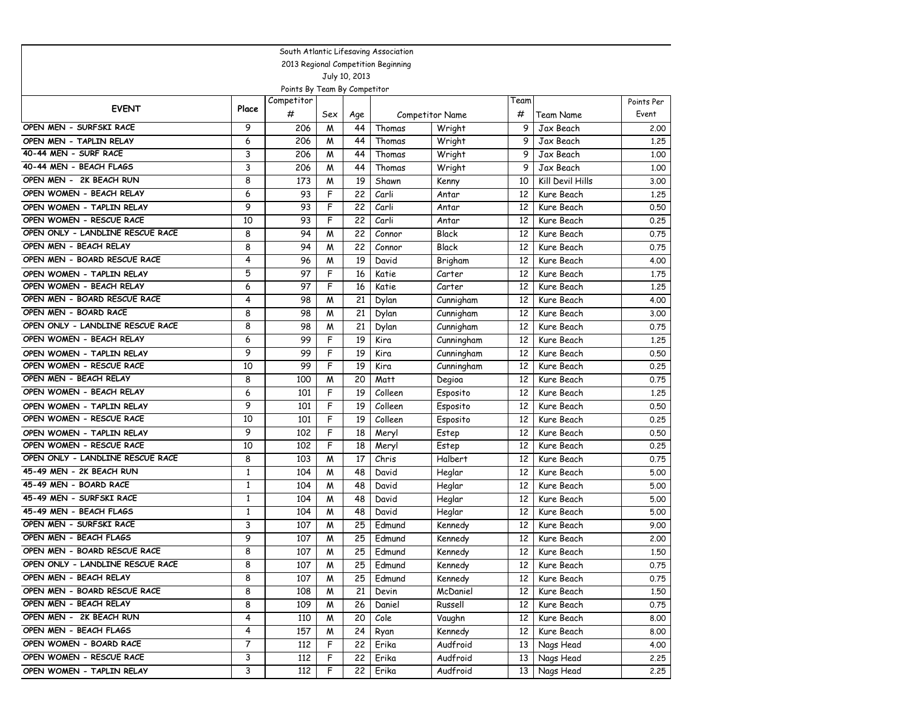| South Atlantic Lifesaving Association |              |                              |     |               |                                     |                        |                 |                  |            |  |  |
|---------------------------------------|--------------|------------------------------|-----|---------------|-------------------------------------|------------------------|-----------------|------------------|------------|--|--|
|                                       |              |                              |     |               | 2013 Regional Competition Beginning |                        |                 |                  |            |  |  |
|                                       |              |                              |     | July 10, 2013 |                                     |                        |                 |                  |            |  |  |
|                                       |              | Points By Team By Competitor |     |               |                                     |                        |                 |                  |            |  |  |
| <b>EVENT</b>                          | Place        | Competitor                   |     |               |                                     |                        | Team            |                  | Points Per |  |  |
|                                       |              | #                            | Sex | Age           |                                     | <b>Competitor Name</b> | #               | Team Name        | Event      |  |  |
| OPEN MEN - SURFSKI RACE               | 9            | 206                          | M   | 44            | Thomas                              | Wright                 | 9               | Jax Beach        | 2.00       |  |  |
| OPEN MEN - TAPLIN RELAY               | 6            | 206                          | M   | 44            | Thomas                              | Wright                 | 9               | Jax Beach        | 1,25       |  |  |
| 40-44 MEN - SURF RACE                 | 3            | 206                          | M   | 44            | Thomas                              | Wright                 | 9               | Jax Beach        | 1,00       |  |  |
| 40-44 MEN - BEACH FLAGS               | 3            | 206                          | M   | 44            | Thomas                              | Wright                 | 9               | Jax Beach        | 1.00       |  |  |
| OPEN MEN - 2K BEACH RUN               | 8            | 173                          | M   | 19            | Shawn                               | Kenny                  | 10              | Kill Devil Hills | 3.00       |  |  |
| OPEN WOMEN - BEACH RELAY              | 6            | 93                           | F   | 22            | Carli                               | Antar                  | 12              | Kure Beach       | 1.25       |  |  |
| OPEN WOMEN - TAPLIN RELAY             | 9            | 93                           | F   | 22            | Carli                               | Antar                  | 12              | Kure Beach       | 0.50       |  |  |
| OPEN WOMEN - RESCUE RACE              | 10           | 93                           | F   | 22            | Carli                               | Antar                  | 12              | Kure Beach       | 0.25       |  |  |
| OPEN ONLY - LANDLINE RESCUE RACE      | 8            | 94                           | M   | 22            | Connor                              | Black                  | 12              | Kure Beach       | 0.75       |  |  |
| OPEN MEN - BEACH RELAY                | 8            | 94                           | M   | 22            | Connor                              | Black                  | 12              | Kure Beach       | 0.75       |  |  |
| OPEN MEN - BOARD RESCUE RACE          | 4            | 96                           | M   | 19            | David                               | Brigham                | 12              | Kure Beach       | 4.00       |  |  |
| OPEN WOMEN - TAPLIN RELAY             | 5            | 97                           | F   | 16            | Katie                               | Carter                 | 12              | Kure Beach       | 1.75       |  |  |
| OPEN WOMEN - BEACH RELAY              | 6            | 97                           | F   | 16            | Katie                               | Carter                 | 12              | Kure Beach       | 1.25       |  |  |
| OPEN MEN - BOARD RESCUE RACE          | 4            | 98                           | M   | 21            | Dylan                               | Cunnigham              | 12              | Kure Beach       | 4.00       |  |  |
| OPEN MEN - BOARD RACE                 | 8            | 98                           | M   | 21            | Dylan                               | Cunnigham              | 12              | Kure Beach       | 3.00       |  |  |
| OPEN ONLY - LANDLINE RESCUE RACE      | 8            | 98                           | M   | 21            | Dylan                               | Cunnigham              | 12              | Kure Beach       | 0.75       |  |  |
| OPEN WOMEN - BEACH RELAY              | 6            | 99                           | F   | 19            | Kira                                | Cunningham             | 12              | Kure Beach       | 1,25       |  |  |
| OPEN WOMEN - TAPLIN RELAY             | 9            | 99                           | F   | 19            | Kira                                | Cunningham             | 12              | Kure Beach       | 0.50       |  |  |
| OPEN WOMEN - RESCUE RACE              | 10           | 99                           | F   | 19            | Kira                                | Cunningham             | 12              | Kure Beach       | 0.25       |  |  |
| OPEN MEN - BEACH RELAY                | 8            | 100                          | M   | 20            | Matt                                | Degioa                 | 12              | Kure Beach       | 0.75       |  |  |
| OPEN WOMEN - BEACH RELAY              | 6            | 101                          | F   | 19            | Colleen                             | Esposito               | 12              | Kure Beach       | 1,25       |  |  |
| OPEN WOMEN - TAPLIN RELAY             | 9            | 101                          | F   | 19            | Colleen                             | Esposito               | 12              | Kure Beach       | 0.50       |  |  |
| OPEN WOMEN - RESCUE RACE              | 10           | 101                          | F   | 19            | Colleen                             | Esposito               | 12              | Kure Beach       | 0.25       |  |  |
| OPEN WOMEN - TAPLIN RELAY             | 9            | 102                          | F   | 18            | Meryl                               | Estep                  | 12              | Kure Beach       | 0.50       |  |  |
| OPEN WOMEN - RESCUE RACE              | 10           | 102                          | F   | 18            | Meryl                               | Estep                  | 12              | Kure Beach       | 0.25       |  |  |
| OPEN ONLY - LANDLINE RESCUE RACE      | 8            | 103                          | M   | 17            | Chris                               | Halbert                | 12              | Kure Beach       | 0.75       |  |  |
| 45-49 MEN - 2K BEACH RUN              | 1            | 104                          | M   | 48            | David                               | Heglar                 | 12              | Kure Beach       | 5.00       |  |  |
| 45-49 MEN - BOARD RACE                | $\mathbf{1}$ | 104                          | M   | 48            | David                               | Heglar                 | 12              | Kure Beach       | 5.00       |  |  |
| 45-49 MEN - SURFSKI RACE              | 1            | 104                          | M   | 48            | David                               | Heglar                 | 12              | Kure Beach       | 5.00       |  |  |
| 45-49 MEN - BEACH FLAGS               | $\mathbf{1}$ | 104                          | M   | 48            | David                               | Heglar                 | 12              | Kure Beach       | 5.00       |  |  |
| OPEN MEN - SURFSKI RACE               | 3            | 107                          | M   | 25            | Edmund                              | Kennedy                | 12              | Kure Beach       | 9.00       |  |  |
| OPEN MEN - BEACH FLAGS                | 9            | 107                          | M   | 25            | Edmund                              | Kennedy                | 12              | Kure Beach       | 2.00       |  |  |
| OPEN MEN - BOARD RESCUE RACE          | 8            | 107                          | M   | 25            | Edmund                              | Kennedy                | 12              | Kure Beach       | 1,50       |  |  |
| OPEN ONLY - LANDLINE RESCUE RACE      | 8            | 107                          | M   | 25            | Edmund                              | Kennedy                | 12              | Kure Beach       | 0.75       |  |  |
| OPEN MEN - BEACH RELAY                | 8            | 107                          | M   | 25            | Edmund                              | Kennedy                | 12              | Kure Beach       | 0.75       |  |  |
| OPEN MEN - BOARD RESCUE RACE          | 8            | 108                          | M   | 21            | Devin                               | McDaniel               | 12 <sup>2</sup> | Kure Beach       | 1.50       |  |  |
| OPEN MEN - BEACH RELAY                | 8            | 109                          | M   | 26            | Daniel                              | Russell                | 12              | Kure Beach       | 0.75       |  |  |
| OPEN MEN - 2K BEACH RUN               | 4            | 110                          | M   | 20            | Cole                                | Vaughn                 | 12              | Kure Beach       | 8.00       |  |  |
| OPEN MEN - BEACH FLAGS                | 4            | 157                          | M   | 24            | Ryan                                | Kennedy                | 12              | Kure Beach       | 8.00       |  |  |
| OPEN WOMEN - BOARD RACE               | 7            | 112                          | F   | 22            | Erika                               | Audfroid               | 13              | Nags Head        | 4.00       |  |  |
| OPEN WOMEN - RESCUE RACE              | 3            | 112                          | F   | 22            | Erika                               | Audfroid               | 13              | Nags Head        | 2.25       |  |  |
| OPEN WOMEN - TAPLIN RELAY             | 3            | 112                          | F   | 22            | Erika                               | Audfroid               | 13 <sup>1</sup> | Nags Head        | 2.25       |  |  |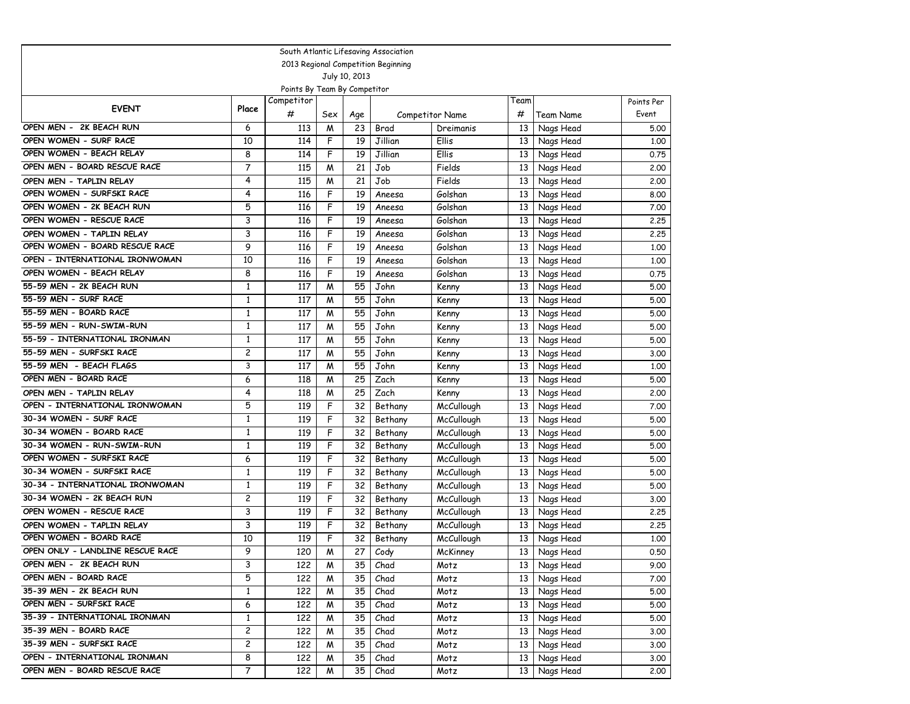| South Atlantic Lifesaving Association |                         |                              |     |               |                                     |                   |                 |           |            |  |  |
|---------------------------------------|-------------------------|------------------------------|-----|---------------|-------------------------------------|-------------------|-----------------|-----------|------------|--|--|
|                                       |                         |                              |     |               | 2013 Regional Competition Beginning |                   |                 |           |            |  |  |
|                                       |                         |                              |     | July 10, 2013 |                                     |                   |                 |           |            |  |  |
|                                       |                         | Points By Team By Competitor |     |               |                                     |                   |                 |           |            |  |  |
| <b>EVENT</b>                          | Place                   | Competitor                   |     |               |                                     |                   | Team            |           | Points Per |  |  |
|                                       |                         | #                            | Sex | Age           |                                     | Competitor Name   | #               | Team Name | Event      |  |  |
| OPEN MEN - 2K BEACH RUN               | 6                       | 113                          | M   | 23            | Brad                                | Dreimanis         | 13              | Nags Head | 5.00       |  |  |
| OPEN WOMEN - SURF RACE                | 10                      | 114                          | F   | 19            | Jillian                             | Ellis             | 13              | Nags Head | 1.00       |  |  |
| OPEN WOMEN - BEACH RELAY              | 8                       | 114                          | F   | 19            | Jillian                             | Ellis             | 13              | Nags Head | 0.75       |  |  |
| OPEN MEN - BOARD RESCUE RACE          | $\overline{7}$          | 115                          | M   | 21            | Job                                 | Fields            | 13              | Nags Head | 2,00       |  |  |
| OPEN MEN - TAPLIN RELAY               | 4                       | 115                          | M   | 21            | Job                                 | Fields            | 13              | Nags Head | 2.00       |  |  |
| OPEN WOMEN - SURFSKI RACE             | 4                       | 116                          | F   | 19            | Aneesa                              | Golshan           | 13              | Nags Head | 8.00       |  |  |
| OPEN WOMEN - 2K BEACH RUN             | 5                       | 116                          | F   | 19            | Aneesa                              | Golshan           | 13              | Nags Head | 7.00       |  |  |
| OPEN WOMEN - RESCUE RACE              | 3                       | 116                          | F   | 19            | Aneesa                              | Golshan           | 13              | Nags Head | 2.25       |  |  |
| OPEN WOMEN - TAPLIN RELAY             | 3                       | 116                          | F   | 19            | Aneesa                              | Golshan           | 13              | Nags Head | 2.25       |  |  |
| OPEN WOMEN - BOARD RESCUE RACE        | 9                       | 116                          | F   | 19            | Aneesa                              | Golshan           | 13              | Nags Head | 1.00       |  |  |
| OPEN - INTERNATIONAL IRONWOMAN        | 10                      | 116                          | F   | 19            | Aneesa                              | Golshan           | 13              | Nags Head | 1.00       |  |  |
| OPEN WOMEN - BEACH RELAY              | 8                       | 116                          | F   | 19            | Aneesa                              | Golshan           | 13              | Nags Head | 0.75       |  |  |
| 55-59 MEN - 2K BEACH RUN              | $\mathbf{1}$            | 117                          | M   | 55            | John                                | Kenny             | 13              | Nags Head | 5.00       |  |  |
| 55-59 MEN - SURF RACE                 | $\mathbf{1}$            | 117                          | M   | 55            | John                                | Kenny             | 13              | Nags Head | 5.00       |  |  |
| 55-59 MEN - BOARD RACE                | $\mathbf{1}$            | 117                          | M   | 55            | John                                | Kenny             | 13              | Nags Head | 5.00       |  |  |
| 55-59 MEN - RUN-SWIM-RUN              | $\mathbf{1}$            | 117                          | M   | 55            | John                                | Kenny             | 13              | Nags Head | 5.00       |  |  |
| 55-59 - INTERNATIONAL IRONMAN         | $\mathbf{1}$            | 117                          | M   | 55            | John                                | Kenny             | 13              | Nags Head | 5.00       |  |  |
| 55-59 MEN - SURFSKI RACE              | $\overline{c}$          | 117                          | M   | 55            | John                                | Kenny             | 13              | Nags Head | 3.00       |  |  |
| 55-59 MEN - BEACH FLAGS               | 3                       | 117                          | M   | 55            | John                                | Kenny             | 13              | Nags Head | 1.00       |  |  |
| OPEN MEN - BOARD RACE                 | 6                       | 118                          | M   | 25            | Zach                                | Kenny             | 13              | Nags Head | 5.00       |  |  |
| OPEN MEN - TAPLIN RELAY               | 4                       | 118                          | M   | 25            | Zach                                | Kenny             | 13              | Nags Head | 2,00       |  |  |
| OPEN - INTERNATIONAL IRONWOMAN        | 5                       | 119                          | F   | 32            | Bethany                             | McCullough        | 13              | Nags Head | 7.00       |  |  |
| 30-34 WOMEN - SURF RACE               | $\mathbf{1}$            | 119                          | F   | 32            | Bethany                             | McCullough        | 13              | Nags Head | 5.00       |  |  |
| 30-34 WOMEN - BOARD RACE              | $\mathbf{1}$            | 119                          | F   | 32            | Bethany                             | McCullough        | 13              | Nags Head | 5.00       |  |  |
| 30-34 WOMEN - RUN-SWIM-RUN            | $\mathbf{1}$            | 119                          | F   | 32            | Bethany                             | McCullough        | 13              | Nags Head | 5.00       |  |  |
| OPEN WOMEN - SURFSKI RACE             | 6                       | 119                          | F   | 32            | Bethany                             | <b>McCullough</b> | 13              | Nags Head | 5.00       |  |  |
| 30-34 WOMEN - SURFSKI RACE            | $\mathbf{1}$            | 119                          | F   | 32            | Bethany                             | McCullough        | 13              | Nags Head | 5.00       |  |  |
| 30-34 - INTERNATIONAL IRONWOMAN       | $\mathbf{1}$            | 119                          | F   | 32            | Bethany                             | McCullough        | 13              | Nags Head | 5.00       |  |  |
| 30-34 WOMEN - 2K BEACH RUN            | $\overline{c}$          | 119                          | F   | 32            | Bethany                             | McCullough        | 13              | Nags Head | 3.00       |  |  |
| OPEN WOMEN - RESCUE RACE              | 3                       | 119                          | F   | 32            | Bethany                             | McCullough        | 13              | Nags Head | 2.25       |  |  |
| OPEN WOMEN - TAPLIN RELAY             | 3                       | 119                          | F   | 32            | Bethany                             | McCullough        | 13              | Nags Head | 2.25       |  |  |
| OPEN WOMEN - BOARD RACE               | 10                      | 119                          | F   | 32            | Bethany                             | McCullough        | 13              | Nags Head | 1.00       |  |  |
| OPEN ONLY - LANDLINE RESCUE RACE      | 9                       | 120                          | M   | 27            | Cody                                | McKinney          | 13              | Nags Head | 0.50       |  |  |
| OPEN MEN - 2K BEACH RUN               | 3                       | 122                          | M   | 35            | Chad                                | Motz              | 13              | Nags Head | 9.00       |  |  |
| OPEN MEN - BOARD RACE                 | 5                       | 122                          | M   | 35            | Chad                                | Motz              | 13              | Nags Head | 7.00       |  |  |
| 35-39 MEN - 2K BEACH RUN              | $\mathbf{1}$            | 122                          | M   | 35            | Chad                                | Motz              | 13              | Nags Head | 5.00       |  |  |
| OPEN MEN - SURFSKI RACE               | 6                       | 122                          | M   | 35            | Chad                                | Motz              | 13              | Nags Head | 5.00       |  |  |
| 35-39 - INTERNATIONAL IRONMAN         | $\mathbf{1}$            | 122                          | M   | 35            | Chad                                | Motz              | 13              | Nags Head | 5.00       |  |  |
| 35-39 MEN - BOARD RACE                | $\overline{c}$          | 122                          | M   | 35            | Chad                                | Motz              | 13              | Nags Head | 3.00       |  |  |
| 35-39 MEN - SURFSKI RACE              | $\overline{\mathbf{c}}$ | 122                          | M   | 35            | Chad                                | Motz              | 13              | Nags Head | 3.00       |  |  |
| OPEN - INTERNATIONAL IRONMAN          | 8                       | 122                          | M   | 35            | Chad                                | Motz              | 13              | Nags Head | 3.00       |  |  |
| OPEN MEN - BOARD RESCUE RACE          | 7                       | 122                          | M   | 35            | Chad                                | Motz              | 13 <sup>1</sup> | Nags Head | 2.00       |  |  |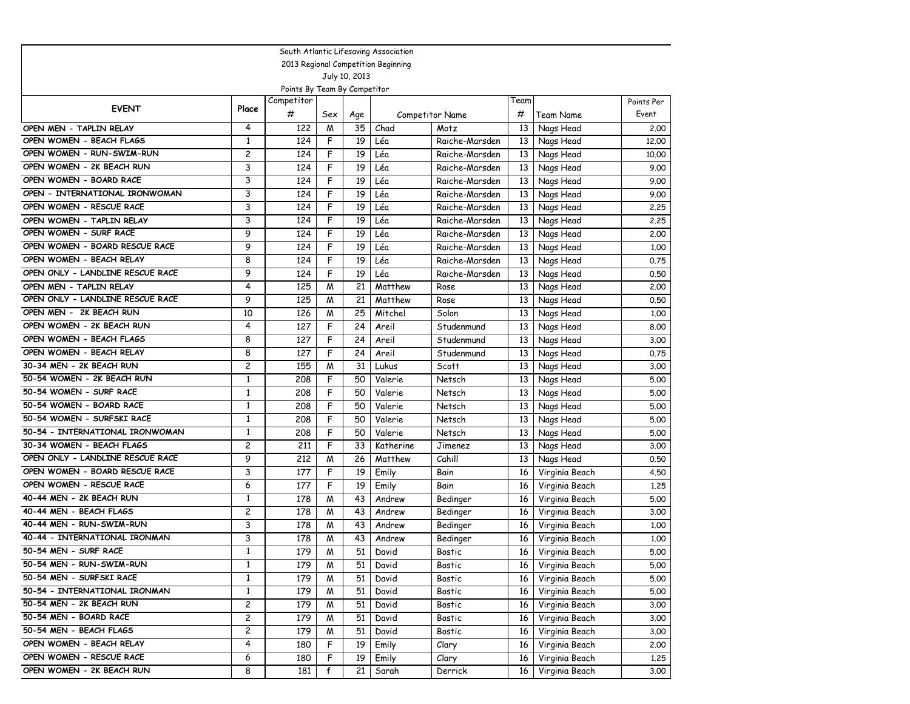| South Atlantic Lifesaving Association |                         |                              |     |                 |                                     |                 |      |                |            |  |  |
|---------------------------------------|-------------------------|------------------------------|-----|-----------------|-------------------------------------|-----------------|------|----------------|------------|--|--|
|                                       |                         |                              |     |                 | 2013 Regional Competition Beginning |                 |      |                |            |  |  |
|                                       |                         |                              |     | July 10, 2013   |                                     |                 |      |                |            |  |  |
|                                       |                         | Points By Team By Competitor |     |                 |                                     |                 |      |                |            |  |  |
| <b>EVENT</b>                          | Place                   | Competitor                   |     |                 |                                     |                 | Team |                | Points Per |  |  |
|                                       |                         | #                            | Sex | Age             |                                     | Competitor Name | #    | Team Name      | Event      |  |  |
| OPEN MEN - TAPLIN RELAY               | 4                       | 122                          | M   | 35              | Chad                                | Motz            | 13   | Nags Head      | 2.00       |  |  |
| OPEN WOMEN - BEACH FLAGS              | $\mathbf{1}$            | 124                          | F   | 19              | Léa                                 | Raiche-Marsden  | 13   | Nags Head      | 12,00      |  |  |
| OPEN WOMEN - RUN-SWIM-RUN             | $\overline{c}$          | 124                          | F   | 19              | Léa                                 | Raiche-Marsden  | 13   | Nags Head      | 10,00      |  |  |
| OPEN WOMEN - 2K BEACH RUN             | 3                       | 124                          | F   | 19              | Léa                                 | Raiche-Marsden  | 13   | Nags Head      | 9.00       |  |  |
| OPEN WOMEN - BOARD RACE               | 3                       | 124                          | F   | 19              | Léa                                 | Raiche-Marsden  | 13   | Nags Head      | 9.00       |  |  |
| OPEN - INTERNATIONAL IRONWOMAN        | 3                       | 124                          | F   | 19              | Léa                                 | Raiche-Marsden  | 13   | Nags Head      | 9.00       |  |  |
| OPEN WOMEN - RESCUE RACE              | 3                       | 124                          | F   | 19              | Léa                                 | Raiche-Marsden  | 13   | Nags Head      | 2.25       |  |  |
| OPEN WOMEN - TAPLIN RELAY             | 3                       | 124                          | F   | 19              | Léa                                 | Raiche-Marsden  | 13   | Nags Head      | 2.25       |  |  |
| OPEN WOMEN - SURF RACE                | 9                       | 124                          | F   | 19              | Léa                                 | Raiche-Marsden  | 13   | Nags Head      | 2.00       |  |  |
| OPEN WOMEN - BOARD RESCUE RACE        | 9                       | 124                          | F   | 19              | Léa                                 | Raiche-Marsden  | 13   | Nags Head      | 1.00       |  |  |
| OPEN WOMEN - BEACH RELAY              | 8                       | 124                          | F   | $\overline{19}$ | Léa                                 | Raiche-Marsden  | 13   | Nags Head      | 0.75       |  |  |
| OPEN ONLY - LANDLINE RESCUE RACE      | 9                       | 124                          | F   | 19              | Léa                                 | Raiche-Marsden  | 13   | Nags Head      | 0.50       |  |  |
| OPEN MEN - TAPLIN RELAY               | 4                       | 125                          | M   | 21              | Matthew                             | Rose            | 13   | Nags Head      | 2,00       |  |  |
| OPEN ONLY - LANDLINE RESCUE RACE      | 9                       | 125                          | М   | 21              | Matthew                             | Rose            | 13   | Nags Head      | 0.50       |  |  |
| OPEN MEN - 2K BEACH RUN               | 10                      | 126                          | M   | 25              | Mitchel                             | Solon           | 13   | Nags Head      | 1.00       |  |  |
| OPEN WOMEN - 2K BEACH RUN             | 4                       | 127                          | F   | 24              | Areil                               | Studenmund      | 13   | Nags Head      | 8.00       |  |  |
| OPEN WOMEN - BEACH FLAGS              | 8                       | 127                          | F   | 24              | Areil                               | Studenmund      | 13   | Nags Head      | 3.00       |  |  |
| OPEN WOMEN - BEACH RELAY              | 8                       | 127                          | F   | 24              | Areil                               | Studenmund      | 13   | Nags Head      | 0.75       |  |  |
| 30-34 MEN - 2K BEACH RUN              | $\overline{c}$          | 155                          | M   | 31              | Lukus                               | Scott           | 13   | Nags Head      | 3.00       |  |  |
| 50-54 WOMEN - 2K BEACH RUN            | 1                       | 208                          | F   | 50              | Valerie                             | Netsch          | 13   | Nags Head      | 5.00       |  |  |
| 50-54 WOMEN - SURF RACE               | $\mathbf{1}$            | 208                          | F   | 50              | Valerie                             | Netsch          | 13   | Nags Head      | 5.00       |  |  |
| 50-54 WOMEN - BOARD RACE              | $\mathbf{1}$            | 208                          | F   | 50              | Valerie                             | Netsch          | 13   | Nags Head      | 5.00       |  |  |
| 50-54 WOMEN - SURFSKI RACE            | $\mathbf{1}$            | 208                          | F   | 50              | Valerie                             | Netsch          | 13   | Nags Head      | 5.00       |  |  |
| 50-54 - INTERNATIONAL IRONWOMAN       | $\mathbf{1}$            | 208                          | F   | 50              | Valerie                             | Netsch          | 13   | Nags Head      | 5.00       |  |  |
| 30-34 WOMEN - BEACH FLAGS             | $\overline{c}$          | 211                          | F   | 33              | Katherine                           | Jimenez         | 13   | Nags Head      | 3.00       |  |  |
| OPEN ONLY - LANDLINE RESCUE RACE      | 9                       | 212                          | M   | 26              | Matthew                             | Cahill          | 13   | Nags Head      | 0.50       |  |  |
| OPEN WOMEN - BOARD RESCUE RACE        | 3                       | 177                          | F   | 19              | Emily                               | Bain            | 16   | Virginia Beach | 4.50       |  |  |
| OPEN WOMEN - RESCUE RACE              | 6                       | 177                          | F   | 19              | Emily                               | Bain            | 16   | Virginia Beach | 1,25       |  |  |
| 40-44 MEN - 2K BEACH RUN              | $\mathbf{1}$            | 178                          | M   | 43              | Andrew                              | Bedinger        | 16   | Virginia Beach | 5.00       |  |  |
| 40-44 MEN - BEACH FLAGS               | $\overline{\mathbf{c}}$ | 178                          | M   | 43              | Andrew                              | Bedinger        | 16   | Virginia Beach | 3.00       |  |  |
| 40-44 MEN - RUN-SWIM-RUN              | 3                       | 178                          | M   | 43              | Andrew                              | Bedinger        | 16   | Virginia Beach | 1.00       |  |  |
| 40-44 - INTERNATIONAL IRONMAN         | 3                       | 178                          | M   | 43              | Andrew                              | Bedinger        | 16   | Virginia Beach | 1.00       |  |  |
| 50-54 MEN - SURF RACE                 | 1                       | 179                          | M   | 51              | David                               | Bostic          | 16   | Virginia Beach | 5.00       |  |  |
| 50-54 MEN - RUN-SWIM-RUN              | $\mathbf{1}$            | 179                          | M   | 51              | David                               | Bostic          | 16   | Virginia Beach | 5.00       |  |  |
| 50-54 MEN - SURFSKI RACE              | $\mathbf{1}$            | 179                          | M   | 51              | David                               | Bostic          | 16   | Virginia Beach | 5.00       |  |  |
| 50-54 - INTERNATIONAL IRONMAN         | $\mathbf{1}$            | 179                          | M   | 51              | David                               | Bostic          | 16   | Virginia Beach | 5.00       |  |  |
| 50-54 MEN - 2K BEACH RUN              | 2                       | 179                          | M   | 51              | David                               | Bostic          | 16   | Virginia Beach | 3.00       |  |  |
| 50-54 MEN - BOARD RACE                | 2                       | 179                          | M   | 51              | David                               | Bostic          | 16   | Virginia Beach | 3.00       |  |  |
| 50-54 MEN - BEACH FLAGS               | 2                       | 179                          | W   | 51              | David                               | Bostic          | 16   | Virginia Beach | 3.00       |  |  |
| OPEN WOMEN - BEACH RELAY              | 4                       | 180                          | F   | 19              | Emily                               | Clary           | 16   | Virginia Beach | 2.00       |  |  |
| OPEN WOMEN - RESCUE RACE              | 6                       | 180                          | F   | 19              | Emily                               | Clary           | 16   | Virginia Beach | 1.25       |  |  |
| OPEN WOMEN - 2K BEACH RUN             | 8                       | 181                          | f   | 21              | Sarah                               | Derrick         | 16   | Virginia Beach | 3.00       |  |  |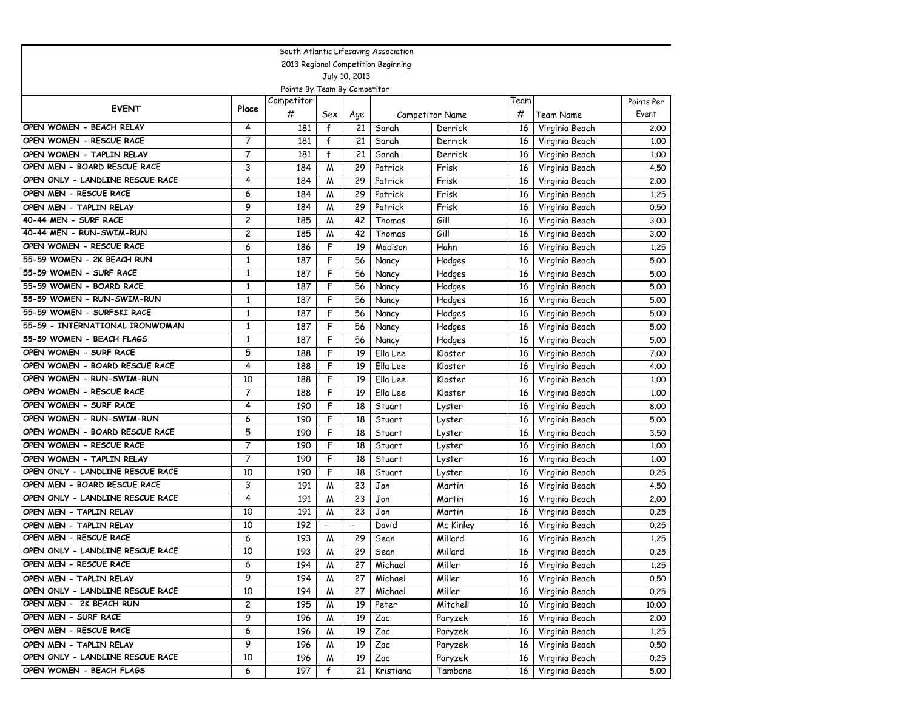|                                  | South Atlantic Lifesaving Association |                              |                          |                |           |                        |      |                |            |  |  |  |
|----------------------------------|---------------------------------------|------------------------------|--------------------------|----------------|-----------|------------------------|------|----------------|------------|--|--|--|
|                                  | 2013 Regional Competition Beginning   |                              |                          |                |           |                        |      |                |            |  |  |  |
|                                  |                                       |                              |                          | July 10, 2013  |           |                        |      |                |            |  |  |  |
|                                  |                                       | Points By Team By Competitor |                          |                |           |                        |      |                |            |  |  |  |
| <b>EVENT</b>                     | Place                                 | Competitor                   |                          |                |           |                        | Team |                | Points Per |  |  |  |
|                                  |                                       | #                            | Sex                      | Age            |           | <b>Competitor Name</b> | #    | Team Name      | Event      |  |  |  |
| OPEN WOMEN - BEACH RELAY         | 4                                     | 181                          | f                        | 21             | Sarah     | Derrick                | 16   | Virginia Beach | 2.00       |  |  |  |
| OPEN WOMEN - RESCUE RACE         | 7                                     | 181                          | f                        | 21             | Sarah     | Derrick                | 16   | Virginia Beach | 1,00       |  |  |  |
| OPEN WOMEN - TAPLIN RELAY        | 7                                     | 181                          | f                        | 21             | Sarah     | Derrick                | 16   | Virginia Beach | 1,00       |  |  |  |
| OPEN MEN - BOARD RESCUE RACE     | 3                                     | 184                          | M                        | 29             | Patrick   | Frisk                  | 16   | Virginia Beach | 4.50       |  |  |  |
| OPEN ONLY - LANDLINE RESCUE RACE | 4                                     | 184                          | M                        | 29             | Patrick   | Frisk                  | 16   | Virginia Beach | 2.00       |  |  |  |
| OPEN MEN - RESCUE RACE           | 6                                     | 184                          | M                        | 29             | Patrick   | Frisk                  | 16   | Virginia Beach | 1.25       |  |  |  |
| OPEN MEN - TAPLIN RELAY          | 9                                     | 184                          | M                        | 29             | Patrick   | Frisk                  | 16   | Virginia Beach | 0.50       |  |  |  |
| 40-44 MEN - SURF RACE            | $\overline{c}$                        | 185                          | M                        | 42             | Thomas    | Gill                   | 16   | Virginia Beach | 3.00       |  |  |  |
| 40-44 MEN - RUN-SWIM-RUN         | 2                                     | 185                          | M                        | 42             | Thomas    | Gill                   | 16   | Virginia Beach | 3.00       |  |  |  |
| OPEN WOMEN - RESCUE RACE         | 6                                     | 186                          | F                        | 19             | Madison   | Hahn                   | 16   | Virginia Beach | 1,25       |  |  |  |
| 55-59 WOMEN - 2K BEACH RUN       | $\mathbf{1}$                          | 187                          | F                        | 56             | Nancy     | Hodges                 | 16   | Virginia Beach | 5.00       |  |  |  |
| 55-59 WOMEN - SURF RACE          | $\mathbf{1}$                          | 187                          | F                        | 56             | Nancy     | Hodges                 | 16   | Virginia Beach | 5.00       |  |  |  |
| 55-59 WOMEN - BOARD RACE         | $\mathbf{1}$                          | 187                          | F                        | 56             | Nancy     | Hodges                 | 16   | Virginia Beach | 5.00       |  |  |  |
| 55-59 WOMEN - RUN-SWIM-RUN       | $\mathbf{1}$                          | 187                          | F                        | 56             | Nancy     | Hodges                 | 16   | Virginia Beach | 5.00       |  |  |  |
| 55-59 WOMEN - SURFSKI RACE       | $\mathbf{1}$                          | 187                          | F                        | 56             | Nancy     | Hodges                 | 16   | Virginia Beach | 5.00       |  |  |  |
| 55-59 - INTERNATIONAL IRONWOMAN  | $\mathbf{1}$                          | 187                          | F                        | 56             | Nancy     | Hodges                 | 16   | Virginia Beach | 5.00       |  |  |  |
| 55-59 WOMEN - BEACH FLAGS        | $\mathbf{1}$                          | 187                          | F                        | 56             | Nancy     | Hodges                 | 16   | Virginia Beach | 5.00       |  |  |  |
| OPEN WOMEN - SURF RACE           | 5                                     | 188                          | F                        | 19             | Ella Lee  | Kloster                | 16   | Virginia Beach | 7.00       |  |  |  |
| OPEN WOMEN - BOARD RESCUE RACE   | 4                                     | 188                          | F                        | 19             | Ella Lee  | Kloster                | 16   | Virginia Beach | 4.00       |  |  |  |
| OPEN WOMEN - RUN-SWIM-RUN        | 10                                    | 188                          | F                        | 19             | Ella Lee  | Kloster                | 16   | Virginia Beach | 1.00       |  |  |  |
| OPEN WOMEN - RESCUE RACE         | 7                                     | 188                          | F                        | 19             | Ella Lee  | Kloster                | 16   | Virginia Beach | 1.00       |  |  |  |
| OPEN WOMEN - SURF RACE           | 4                                     | 190                          | F                        | 18             | Stuart    | Lyster                 | 16   | Virginia Beach | 8.00       |  |  |  |
| OPEN WOMEN - RUN-SWIM-RUN        | 6                                     | 190                          | F                        | 18             | Stuart    | Lyster                 | 16   | Virginia Beach | 5.00       |  |  |  |
| OPEN WOMEN - BOARD RESCUE RACE   | 5                                     | 190                          | F                        | 18             | Stuart    | Lyster                 | 16   | Virginia Beach | 3.50       |  |  |  |
| OPEN WOMEN - RESCUE RACE         | 7                                     | 190                          | F                        | 18             | Stuart    | Lyster                 | 16   | Virginia Beach | 1,00       |  |  |  |
| OPEN WOMEN - TAPLIN RELAY        | 7                                     | 190                          | F                        | 18             | Stuart    | Lyster                 | 16   | Virginia Beach | 1,00       |  |  |  |
| OPEN ONLY - LANDLINE RESCUE RACE | 10                                    | 190                          | F                        | 18             | Stuart    | Lyster                 | 16   | Virginia Beach | 0.25       |  |  |  |
| OPEN MEN - BOARD RESCUE RACE     | 3                                     | 191                          | M                        | 23             | Jon       | Martin                 | 16   | Virginia Beach | 4.50       |  |  |  |
| OPEN ONLY - LANDLINE RESCUE RACE | 4                                     | 191                          | M                        | 23             | Jon       | Martin                 | 16   | Virginia Beach | 2.00       |  |  |  |
| OPEN MEN - TAPLIN RELAY          | 10                                    | 191                          | M                        | 23             | Jon       | Martin                 | 16   | Virginia Beach | 0.25       |  |  |  |
| OPEN MEN - TAPLIN RELAY          | 10                                    | 192                          | $\overline{\phantom{a}}$ | $\overline{a}$ | David     | Mc Kinley              | 16   | Virginia Beach | 0.25       |  |  |  |
| OPEN MEN - RESCUE RACE           | 6                                     | 193                          | M                        | 29             | Sean      | Millard                | 16   | Virginia Beach | 1.25       |  |  |  |
| OPEN ONLY - LANDLINE RESCUE RACE | 10                                    | 193                          | M                        | 29             | Sean      | Millard                | 16   | Virginia Beach | 0.25       |  |  |  |
| OPEN MEN - RESCUE RACE           | 6                                     | 194                          | M                        | 27             | Michael   | Miller                 | 16   | Virginia Beach | 1.25       |  |  |  |
| OPEN MEN - TAPLIN RELAY          | 9                                     | 194                          | M                        | 27             | Michael   | Miller                 | 16   | Virginia Beach | 0.50       |  |  |  |
| OPEN ONLY - LANDLINE RESCUE RACE | 10                                    | 194                          | M                        | 27             | Michael   | Miller                 | 16   | Virginia Beach | 0.25       |  |  |  |
| OPEN MEN - 2K BEACH RUN          | $\overline{\mathbf{c}}$               | 195                          | M                        | 19             | Peter     | Mitchell               | 16   | Virginia Beach | 10.00      |  |  |  |
| OPEN MEN - SURF RACE             | 9                                     | 196                          | M                        | 19             | Zac       | Paryzek                | 16   | Virginia Beach | 2.00       |  |  |  |
| OPEN MEN - RESCUE RACE           | 6                                     | 196                          | M                        | 19             | Zac       | Paryzek                | 16   | Virginia Beach | 1.25       |  |  |  |
| OPEN MEN - TAPLIN RELAY          | 9                                     | 196                          | M                        | 19             | Zac       | Paryzek                | 16   | Virginia Beach | 0.50       |  |  |  |
| OPEN ONLY - LANDLINE RESCUE RACE | 10                                    | 196                          | M                        | 19             | Zac       | Paryzek                | 16   | Virginia Beach | 0.25       |  |  |  |
| OPEN WOMEN - BEACH FLAGS         | 6                                     | 197                          | f                        | 21             | Kristiana | Tambone                | 16   | Virginia Beach | 5.00       |  |  |  |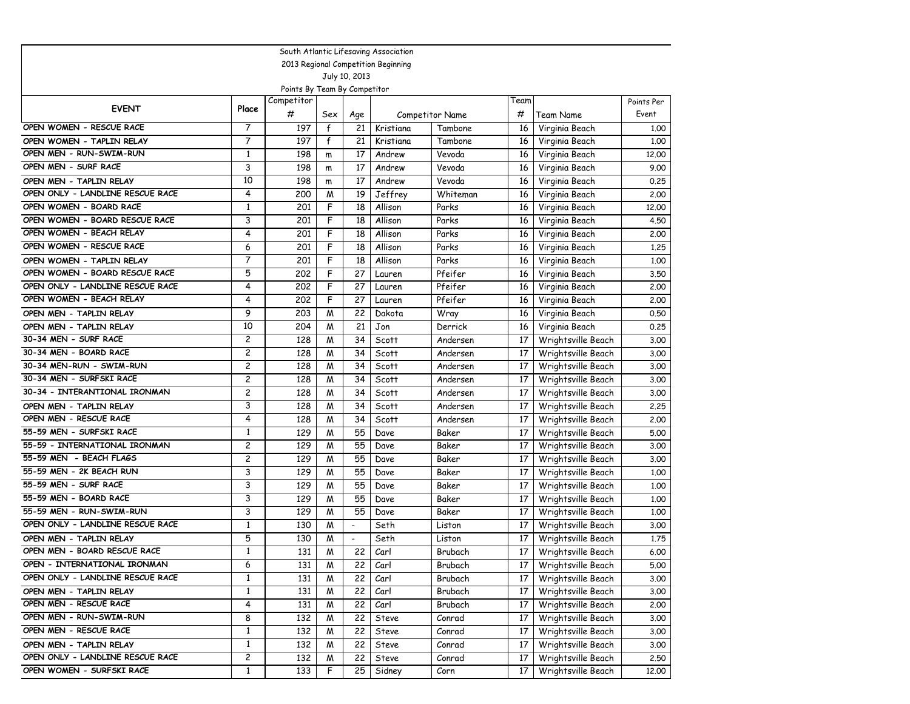| South Atlantic Lifesaving Association |                         |                              |     |                          |                                     |                 |      |                    |            |  |  |
|---------------------------------------|-------------------------|------------------------------|-----|--------------------------|-------------------------------------|-----------------|------|--------------------|------------|--|--|
|                                       |                         |                              |     |                          | 2013 Regional Competition Beginning |                 |      |                    |            |  |  |
|                                       |                         |                              |     | July 10, 2013            |                                     |                 |      |                    |            |  |  |
|                                       |                         | Points By Team By Competitor |     |                          |                                     |                 |      |                    |            |  |  |
| <b>EVENT</b>                          | Place                   | Competitor                   |     |                          |                                     |                 | Геаm |                    | Points Per |  |  |
|                                       |                         | #                            | Sex | Age                      |                                     | Competitor Name | #    | Team Name          | Event      |  |  |
| OPEN WOMEN - RESCUE RACE              | 7                       | 197                          | f   | 21                       | Kristiana                           | Tambone         | 16   | Virginia Beach     | 1.00       |  |  |
| OPEN WOMEN - TAPLIN RELAY             | 7                       | 197                          | f   | 21                       | Kristiana                           | Tambone         | 16   | Virginia Beach     | 1,00       |  |  |
| OPEN MEN - RUN-SWIM-RUN               | $\mathbf{1}$            | 198                          | m   | 17                       | Andrew                              | Vevoda          | 16   | Virginia Beach     | 12,00      |  |  |
| OPEN MEN - SURF RACE                  | 3                       | 198                          | m   | 17                       | Andrew                              | Vevoda          | 16   | Virginia Beach     | 9.00       |  |  |
| OPEN MEN - TAPLIN RELAY               | 10                      | 198                          | m   | 17                       | Andrew                              | Vevoda          | 16   | Virginia Beach     | 0.25       |  |  |
| OPEN ONLY - LANDLINE RESCUE RACE      | 4                       | 200                          | M   | 19                       | Jeffrey                             | Whiteman        | 16   | Virginia Beach     | 2.00       |  |  |
| OPEN WOMEN - BOARD RACE               | $\mathbf{1}$            | 201                          | F   | 18                       | Allison                             | Parks           | 16   | Virginia Beach     | 12.00      |  |  |
| OPEN WOMEN - BOARD RESCUE RACE        | 3                       | 201                          | F   | 18                       | Allison                             | Parks           | 16   | Virginia Beach     | 4.50       |  |  |
| OPEN WOMEN - BEACH RELAY              | 4                       | 201                          | F   | 18                       | Allison                             | Parks           | 16   | Virginia Beach     | 2.00       |  |  |
| OPEN WOMEN - RESCUE RACE              | 6                       | 201                          | F   | 18                       | Allison                             | Parks           | 16   | Virginia Beach     | 1,25       |  |  |
| OPEN WOMEN - TAPLIN RELAY             | 7                       | 201                          | F   | 18                       | Allison                             | Parks           | 16   | Virginia Beach     | 1.00       |  |  |
| OPEN WOMEN - BOARD RESCUE RACE        | 5                       | 202                          | F   | 27                       | Lauren                              | Pfeifer         | 16   | Virginia Beach     | 3.50       |  |  |
| OPEN ONLY - LANDLINE RESCUE RACE      | 4                       | 202                          | F   | 27                       | Lauren                              | Pfeifer         | 16   | Virginia Beach     | 2.00       |  |  |
| OPEN WOMEN - BEACH RELAY              | 4                       | 202                          | F   | 27                       | Lauren                              | Pfeifer         | 16   | Virginia Beach     | 2.00       |  |  |
| OPEN MEN - TAPLIN RELAY               | 9                       | 203                          | M   | 22                       | Dakota                              | Wray            | 16   | Virginia Beach     | 0.50       |  |  |
| OPEN MEN - TAPLIN RELAY               | 10                      | 204                          | M   | 21                       | Jon                                 | Derrick         | 16   | Virginia Beach     | 0.25       |  |  |
| 30-34 MEN - SURF RACE                 | $\overline{c}$          | 128                          | M   | 34                       | Scott                               | Andersen        | 17   | Wrightsville Beach | 3.00       |  |  |
| 30-34 MEN - BOARD RACE                | $\overline{c}$          | 128                          | M   | 34                       | Scott                               | Andersen        | 17   | Wrightsville Beach | 3.00       |  |  |
| 30-34 MEN-RUN - SWIM-RUN              | 2                       | 128                          | M   | 34                       | Scott                               | Andersen        | 17   | Wrightsville Beach | 3.00       |  |  |
| 30-34 MEN - SURFSKI RACE              | 2                       | 128                          | M   | 34                       | Scott                               | Andersen        | 17   | Wrightsville Beach | 3.00       |  |  |
| 30-34 - INTERANTIONAL IRONMAN         | 2                       | 128                          | M   | 34                       | Scott                               | Andersen        | 17   | Wrightsville Beach | 3.00       |  |  |
| OPEN MEN - TAPLIN RELAY               | 3                       | 128                          | M   | 34                       | Scott                               | Andersen        | 17   | Wrightsville Beach | 2.25       |  |  |
| OPEN MEN - RESCUE RACE                | 4                       | 128                          | M   | 34                       | Scott                               | Andersen        | 17   | Wrightsville Beach | 2.00       |  |  |
| 55-59 MEN - SURFSKI RACE              | $\mathbf{1}$            | 129                          | M   | 55                       | Dave                                | Baker           | 17   | Wrightsville Beach | 5.00       |  |  |
| 55-59 - INTERNATIONAL IRONMAN         | 2                       | 129                          | M   | 55                       | Dave                                | Baker           | 17   | Wrightsville Beach | 3.00       |  |  |
| 55-59 MEN - BEACH FLAGS               | $\overline{c}$          | 129                          | M   | 55                       | Dave                                | Baker           | 17   | Wrightsville Beach | 3.00       |  |  |
| 55-59 MEN - 2K BEACH RUN              | 3                       | 129                          | М   | 55                       | Dave                                | Baker           | 17   | Wrightsville Beach | 1.00       |  |  |
| 55-59 MEN - SURF RACE                 | 3                       | 129                          | M   | 55                       | Dave                                | Baker           | 17   | Wrightsville Beach | 1.00       |  |  |
| 55-59 MEN - BOARD RACE                | 3                       | 129                          | M   | 55                       | Dave                                | Baker           | 17   | Wrightsville Beach | 1.00       |  |  |
| 55-59 MEN - RUN-SWIM-RUN              | 3                       | 129                          | M   | 55                       | Dave                                | Baker           | 17   | Wrightsville Beach | 1.00       |  |  |
| OPEN ONLY - LANDLINE RESCUE RACE      | $\mathbf{1}$            | 130                          | M   | $\overline{\phantom{a}}$ | Seth                                | Liston          | 17   | Wrightsville Beach | 3.00       |  |  |
| OPEN MEN - TAPLIN RELAY               | 5                       | 130                          | M   | $\overline{\phantom{a}}$ | Seth                                | Liston          | 17   | Wrightsville Beach | 1.75       |  |  |
| OPEN MEN - BOARD RESCUE RACE          | $\mathbf{1}$            | 131                          | M   | 22                       | Carl                                | Brubach         | 17   | Wrightsville Beach | 6.00       |  |  |
| OPEN - INTERNATIONAL IRONMAN          | 6                       | 131                          | M   | 22                       | Carl                                | Brubach         | 17 I | Wrightsville Beach | 5.00       |  |  |
| OPEN ONLY - LANDLINE RESCUE RACE      | $\mathbf{1}$            | 131                          | M   | 22                       | Carl                                | Brubach         | 17   | Wrightsville Beach | 3.00       |  |  |
| OPEN MEN - TAPLIN RELAY               | $\mathbf{1}$            | 131                          | M   | 22                       | Carl                                | Brubach         | 17   | Wrightsville Beach | 3.00       |  |  |
| OPEN MEN - RESCUE RACE                | 4                       | 131                          | M   | 22                       | Carl                                | Brubach         | 17   | Wrightsville Beach | 2.00       |  |  |
| OPEN MEN - RUN-SWIM-RUN               | 8                       | 132                          | M   | 22                       | Steve                               | Conrad          | 17   | Wrightsville Beach | 3.00       |  |  |
| OPEN MEN - RESCUE RACE                | $\mathbf{1}$            | 132                          | M   | 22                       | Steve                               | Conrad          | 17   | Wrightsville Beach | 3.00       |  |  |
| OPEN MEN - TAPLIN RELAY               | $\mathbf{1}$            | 132                          | M   | 22                       | Steve                               | Conrad          | 17   | Wrightsville Beach | 3.00       |  |  |
| OPEN ONLY - LANDLINE RESCUE RACE      | $\overline{\mathbf{c}}$ | 132                          | M   | 22                       | Steve                               | Conrad          | 17   | Wrightsville Beach | 2.50       |  |  |
| OPEN WOMEN - SURFSKI RACE             | $\mathbf{1}$            | 133                          | F   | 25                       | Sidney                              | Corn            | 17   | Wrightsville Beach | 12.00      |  |  |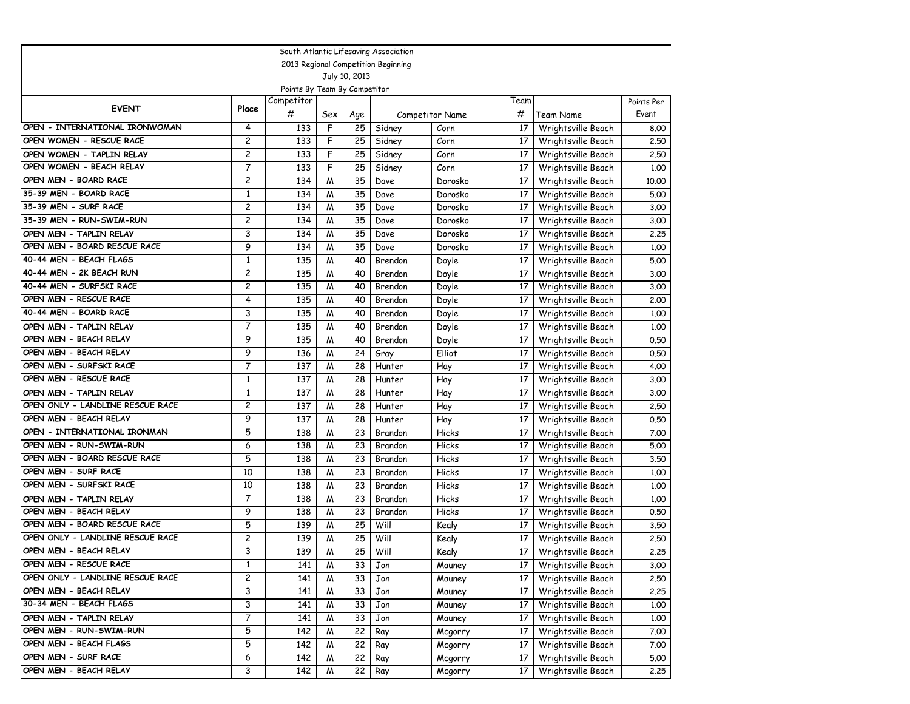| South Atlantic Lifesaving Association |                |            |     |     |         |                 |      |                    |            |  |  |
|---------------------------------------|----------------|------------|-----|-----|---------|-----------------|------|--------------------|------------|--|--|
| 2013 Regional Competition Beginning   |                |            |     |     |         |                 |      |                    |            |  |  |
| July 10, 2013                         |                |            |     |     |         |                 |      |                    |            |  |  |
| Points By Team By Competitor          |                |            |     |     |         |                 |      |                    |            |  |  |
| <b>EVENT</b>                          | Place          | Competitor |     |     |         |                 | Team |                    | Points Per |  |  |
|                                       |                | #          | Sex | Age |         | Competitor Name | #    | Team Name          | Event      |  |  |
| OPEN - INTERNATIONAL IRONWOMAN        | 4              | 133        | F   | 25  | Sidney  | Corn            | 17   | Wrightsville Beach | 8.00       |  |  |
| OPEN WOMEN - RESCUE RACE              | 2              | 133        | F   | 25  | Sidney  | Corn            | 17   | Wrightsville Beach | 2.50       |  |  |
| OPEN WOMEN - TAPLIN RELAY             | 2              | 133        | F   | 25  | Sidney  | Corn            | 17   | Wrightsville Beach | 2.50       |  |  |
| OPEN WOMEN - BEACH RELAY              | 7              | 133        | F   | 25  | Sidney  | Corn            | 17   | Wrightsville Beach | 1.00       |  |  |
| OPEN MEN - BOARD RACE                 | $\overline{c}$ | 134        | M   | 35  | Dave    | Dorosko         | 17   | Wrightsville Beach | 10.00      |  |  |
| 35-39 MEN - BOARD RACE                | $\mathbf{1}$   | 134        | M   | 35  | Dave    | Dorosko         | 17   | Wrightsville Beach | 5.00       |  |  |
| 35-39 MEN - SURF RACE                 | 2              | 134        | M   | 35  | Dave    | Dorosko         | 17   | Wrightsville Beach | 3.00       |  |  |
| 35-39 MEN - RUN-SWIM-RUN              | 2              | 134        | M   | 35  | Dave    | Dorosko         | 17   | Wrightsville Beach | 3.00       |  |  |
| OPEN MEN - TAPLIN RELAY               | 3              | 134        | M   | 35  | Dave    | Dorosko         | 17   | Wrightsville Beach | 2.25       |  |  |
| OPEN MEN - BOARD RESCUE RACE          | 9              | 134        | M   | 35  | Dave    | Dorosko         | 17   | Wrightsville Beach | 1.00       |  |  |
| 40-44 MEN - BEACH FLAGS               | $\mathbf{1}$   | 135        | M   | 40  | Brendon | Doyle           | 17   | Wrightsville Beach | 5.00       |  |  |
| 40-44 MEN - 2K BEACH RUN              | 2              | 135        | M   | 40  | Brendon | Doyle           | 17   | Wrightsville Beach | 3.00       |  |  |
| 40-44 MEN - SURFSKI RACE              | 2              | 135        | M   | 40  | Brendon | Doyle           | 17   | Wrightsville Beach | 3.00       |  |  |
| OPEN MEN - RESCUE RACE                | 4              | 135        | M   | 40  | Brendon | Doyle           | 17   | Wrightsville Beach | 2.00       |  |  |
| 40-44 MEN - BOARD RACE                | 3              | 135        | M   | 40  | Brendon | Doyle           | 17   | Wrightsville Beach | 1.00       |  |  |
| OPEN MEN - TAPLIN RELAY               | $\overline{7}$ | 135        | M   | 40  | Brendon | Doyle           | 17   | Wrightsville Beach | 1.00       |  |  |
| OPEN MEN - BEACH RELAY                | 9              | 135        | M   | 40  | Brendon | Doyle           | 17   | Wrightsville Beach | 0.50       |  |  |
| OPEN MEN - BEACH RELAY                | 9              | 136        | M   | 24  | Gray    | Elliot          | 17   | Wrightsville Beach | 0.50       |  |  |
| OPEN MEN - SURFSKI RACE               | $\overline{7}$ | 137        | M   | 28  | Hunter  | Hay             | 17   | Wrightsville Beach | 4.00       |  |  |
| OPEN MEN - RESCUE RACE                | $\mathbf{1}$   | 137        | M   | 28  | Hunter  | Hay             | 17   | Wrightsville Beach | 3.00       |  |  |
| OPEN MEN - TAPLIN RELAY               | $\mathbf{1}$   | 137        | M   | 28  | Hunter  | Hay             | 17   | Wrightsville Beach | 3.00       |  |  |
| OPEN ONLY - LANDLINE RESCUE RACE      | 2              | 137        | M   | 28  | Hunter  | Hay             | 17   | Wrightsville Beach | 2.50       |  |  |
| OPEN MEN - BEACH RELAY                | 9              | 137        | M   | 28  | Hunter  | Hay             | 17   | Wrightsville Beach | 0.50       |  |  |
| OPEN - INTERNATIONAL IRONMAN          | 5              | 138        | M   | 23  | Brandon | Hicks           | 17   | Wrightsville Beach | 7.00       |  |  |
| OPEN MEN - RUN-SWIM-RUN               | 6              | 138        | M   | 23  | Brandon | Hicks           | 17   | Wrightsville Beach | 5.00       |  |  |
| OPEN MEN - BOARD RESCUE RACE          | 5              | 138        | M   | 23  | Brandon | Hicks           | 17   | Wrightsville Beach | 3.50       |  |  |
| OPEN MEN - SURF RACE                  | 10             | 138        | M   | 23  | Brandon | Hicks           | 17   | Wrightsville Beach | 1,00       |  |  |
| OPEN MEN - SURFSKI RACE               | 10             | 138        | M   | 23  | Brandon | Hicks           | 17   | Wrightsville Beach | 1.00       |  |  |
| OPEN MEN - TAPLIN RELAY               | $\overline{7}$ | 138        | M   | 23  | Brandon | Hicks           | 17   | Wrightsville Beach | 1.00       |  |  |
| OPEN MEN - BEACH RELAY                | 9              | 138        | M   | 23  | Brandon | Hicks           | 17   | Wrightsville Beach | 0.50       |  |  |
| OPEN MEN - BOARD RESCUE RACE          | 5              | 139        | M   | 25  | Will    | Kealy           | 17   | Wrightsville Beach | 3.50       |  |  |
| OPEN ONLY - LANDLINE RESCUE RACE      | 2              | 139        | M   | 25  | Will    | Kealy           | 17   | Wrightsville Beach | 2.50       |  |  |
| OPEN MEN - BEACH RELAY                | 3              | 139        | M   | 25  | Will    | Kealy           | 17   | Wrightsville Beach | 2.25       |  |  |
| OPEN MEN - RESCUE RACE                | $\mathbf{1}$   | 141        | M   | 33  | Jon     | Mauney          | 17   | Wrightsville Beach | 3.00       |  |  |
| OPEN ONLY - LANDLINE RESCUE RACE      | 2              | 141        | M   | 33  | Jon     | Mauney          | 17   | Wrightsville Beach | 2.50       |  |  |
| OPEN MEN - BEACH RELAY                | 3              | 141        | M   | 33  | Jon     | Mauney          | 17   | Wrightsville Beach | 2.25       |  |  |
| 30-34 MEN - BEACH FLAGS               | 3              | 141        | M   | 33  | Jon     | Mauney          | 17   | Wrightsville Beach | 1.00       |  |  |
| OPEN MEN - TAPLIN RELAY               | 7              | 141        | M   | 33  | Jon     | Mauney          | 17   | Wrightsville Beach | 1.00       |  |  |
| OPEN MEN - RUN-SWIM-RUN               | 5              | 142        | M   | 22  | Ray     | Mcgorry         | 17   | Wrightsville Beach | 7.00       |  |  |
| OPEN MEN - BEACH FLAGS                | 5              | 142        | M   | 22  | Ray     | Mcgorry         | 17   | Wrightsville Beach | 7.00       |  |  |
| OPEN MEN - SURF RACE                  | 6              | 142        | M   | 22  | Ray     | Mcgorry         | 17   | Wrightsville Beach | 5.00       |  |  |
| OPEN MEN - BEACH RELAY                | 3              | 142        | M   | 22  | Ray     | Mcgorry         | 17   | Wrightsville Beach | 2.25       |  |  |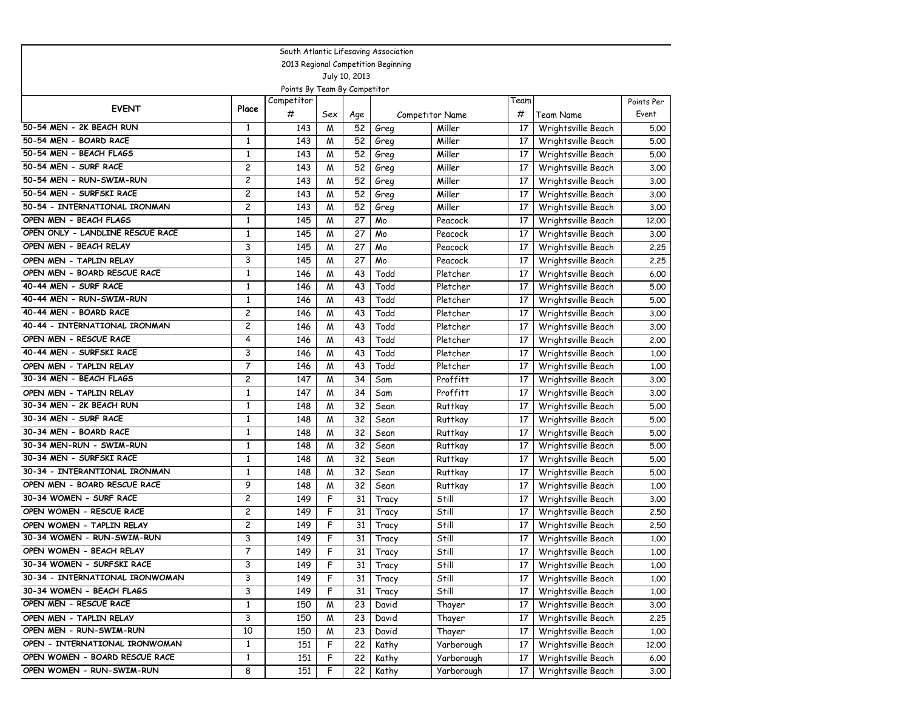|                                     |                |            |     |     | South Atlantic Lifesaving Association |                 |      |                    |            |  |
|-------------------------------------|----------------|------------|-----|-----|---------------------------------------|-----------------|------|--------------------|------------|--|
| 2013 Regional Competition Beginning |                |            |     |     |                                       |                 |      |                    |            |  |
| July 10, 2013                       |                |            |     |     |                                       |                 |      |                    |            |  |
| Points By Team By Competitor        |                |            |     |     |                                       |                 |      |                    |            |  |
| <b>EVENT</b>                        | Place          | Competitor |     |     |                                       |                 | Team |                    | Points Per |  |
|                                     |                | #          | Sex | Age |                                       | Competitor Name | #    | Team Name          | Event      |  |
| 50-54 MEN - 2K BEACH RUN            | $\mathbf{1}$   | 143        | M   | 52  | Greg                                  | Miller          | 17   | Wrightsville Beach | 5.00       |  |
| 50-54 MEN - BOARD RACE              | 1              | 143        | M   | 52  | Greg                                  | Miller          | 17   | Wrightsville Beach | 5.00       |  |
| 50-54 MEN - BEACH FLAGS             | $\mathbf{1}$   | 143        | M   | 52  | Greg                                  | Miller          | 17   | Wrightsville Beach | 5.00       |  |
| 50-54 MEN - SURF RACE               | 2              | 143        | M   | 52  | Greg                                  | Miller          | 17   | Wrightsville Beach | 3.00       |  |
| 50-54 MEN - RUN-SWIM-RUN            | $\overline{c}$ | 143        | M   | 52  | Greg                                  | Miller          | 17   | Wrightsville Beach | 3.00       |  |
| 50-54 MEN - SURFSKI RACE            | 2              | 143        | M   | 52  | Greg                                  | Miller          | 17   | Wrightsville Beach | 3.00       |  |
| 50-54 - INTERNATIONAL IRONMAN       | 2              | 143        | M   | 52  | Greg                                  | Miller          | 17   | Wrightsville Beach | 3.00       |  |
| OPEN MEN - BEACH FLAGS              | $\mathbf{1}$   | 145        | M   | 27  | Mo                                    | Peacock         | 17   | Wrightsville Beach | 12,00      |  |
| OPEN ONLY - LANDLINE RESCUE RACE    | $\mathbf{1}$   | 145        | M   | 27  | Mo                                    | Peacock         | 17   | Wrightsville Beach | 3.00       |  |
| OPEN MEN - BEACH RELAY              | 3              | 145        | M   | 27  | Mo                                    | Peacock         | 17   | Wrightsville Beach | 2.25       |  |
| OPEN MEN - TAPLIN RELAY             | 3              | 145        | M   | 27  | Mo                                    | Peacock         | 17   | Wrightsville Beach | 2.25       |  |
| OPEN MEN - BOARD RESCUE RACE        | $\mathbf{1}$   | 146        | M   | 43  | Todd                                  | Pletcher        | 17   | Wrightsville Beach | 6.00       |  |
| 40-44 MEN - SURF RACE               | $\mathbf{1}$   | 146        | M   | 43  | Todd                                  | Pletcher        | 17   | Wrightsville Beach | 5.00       |  |
| 40-44 MEN - RUN-SWIM-RUN            | $\mathbf{1}$   | 146        | M   | 43  | Todd                                  | Pletcher        | 17   | Wrightsville Beach | 5.00       |  |
| 40-44 MEN - BOARD RACE              | 2              | 146        | M   | 43  | Todd                                  | Pletcher        | 17   | Wrightsville Beach | 3.00       |  |
| 40-44 - INTERNATIONAL IRONMAN       | $\overline{c}$ | 146        | M   | 43  | Todd                                  | Pletcher        | 17   | Wrightsville Beach | 3.00       |  |
| OPEN MEN - RESCUE RACE              | 4              | 146        | M   | 43  | Todd                                  | Pletcher        | 17   | Wrightsville Beach | 2.00       |  |
| 40-44 MEN - SURFSKI RACE            | 3              | 146        | M   | 43  | Todd                                  | Pletcher        | 17   | Wrightsville Beach | 1.00       |  |
| OPEN MEN - TAPLIN RELAY             | 7              | 146        | M   | 43  | Todd                                  | Pletcher        | 17   | Wrightsville Beach | 1.00       |  |
| 30-34 MEN - BEACH FLAGS             | 2              | 147        | M   | 34  | Sam                                   | Proffitt        | 17   | Wrightsville Beach | 3.00       |  |
| OPEN MEN - TAPLIN RELAY             | $\mathbf{1}$   | 147        | M   | 34  | Sam                                   | Proffitt        | 17   | Wrightsville Beach | 3.00       |  |
| 30-34 MEN - 2K BEACH RUN            | $\mathbf{1}$   | 148        | M   | 32  | Sean                                  | <b>Ruttkay</b>  | 17   | Wrightsville Beach | 5.00       |  |
| 30-34 MEN - SURF RACE               | $\mathbf{1}$   | 148        | M   | 32  | Sean                                  | Ruttkay         | 17   | Wrightsville Beach | 5.00       |  |
| 30-34 MEN - BOARD RACE              | $\mathbf{1}$   | 148        | M   | 32  | Sean                                  | Ruttkay         | 17   | Wrightsville Beach | 5.00       |  |
| 30-34 MEN-RUN - SWIM-RUN            | $\mathbf{1}$   | 148        | M   | 32  | Sean                                  | <b>Ruttkay</b>  | 17   | Wrightsville Beach | 5.00       |  |
| 30-34 MEN - SURFSKI RACE            | $\mathbf{1}$   | 148        | M   | 32  | Sean                                  | Ruttkay         | 17   | Wrightsville Beach | 5.00       |  |
| 30-34 - INTERANTIONAL IRONMAN       | $\mathbf{1}$   | 148        | M   | 32  | Sean                                  | Ruttkay         | 17   | Wrightsville Beach | 5.00       |  |
| OPEN MEN - BOARD RESCUE RACE        | 9              | 148        | M   | 32  | Sean                                  | Ruttkay         | 17   | Wrightsville Beach | 1.00       |  |
| 30-34 WOMEN - SURF RACE             | $\overline{c}$ | 149        | F   | 31  | Tracy                                 | Still           | 17   | Wrightsville Beach | 3.00       |  |
| OPEN WOMEN - RESCUE RACE            | $\overline{c}$ | 149        | F   | 31  | Tracy                                 | Still           | 17   | Wrightsville Beach | 2.50       |  |
| OPEN WOMEN - TAPLIN RELAY           | 2              | 149        | F   | 31  | Tracy                                 | Still           | 17   | Wrightsville Beach | 2.50       |  |
| 30-34 WOMEN - RUN-SWIM-RUN          | 3              | 149        | F   | 31  | Tracy                                 | Still           | 17   | Wrightsville Beach | 1.00       |  |
| OPEN WOMEN - BEACH RELAY            | 7              | 149        | F   | 31  | Tracy                                 | Still           | 17   | Wrightsville Beach | 1.00       |  |
| 30-34 WOMEN - SURFSKI RACE          | 3              | 149        | F   | 31  | Tracy                                 | Still           | 17   | Wrightsville Beach | 1.00       |  |
| 30-34 - INTERNATIONAL IRONWOMAN     | 3              | 149        | F   | 31  | Tracy                                 | Still           | 17   | Wrightsville Beach | 1.00       |  |
| 30-34 WOMEN - BEACH FLAGS           | 3              | 149        | F   | 31  | Tracy                                 | Still           | 17   | Wrightsville Beach | 1.00       |  |
| OPEN MEN - RESCUE RACE              | $\mathbf{1}$   | 150        | M   | 23  | David                                 | Thayer          | 17   | Wrightsville Beach | 3.00       |  |
| OPEN MEN - TAPLIN RELAY             | 3              | 150        | M   | 23  | David                                 | Thayer          | 17   | Wrightsville Beach | 2.25       |  |
| OPEN MEN - RUN-SWIM-RUN             | 10             | 150        | M   | 23  | David                                 | Thayer          | 17   | Wrightsville Beach | 1.00       |  |
| OPEN - INTERNATIONAL IRONWOMAN      | $\mathbf{1}$   | 151        | F   | 22  | Kathy                                 | Yarborough      | 17   | Wrightsville Beach | 12.00      |  |
| OPEN WOMEN - BOARD RESCUE RACE      | $\mathbf{1}$   | 151        | F   | 22  | Kathy                                 | Yarborough      | 17   | Wrightsville Beach | 6.00       |  |
| OPEN WOMEN - RUN-SWIM-RUN           | 8              | 151        | F   | 22  | Kathy                                 | Yarborough      | 17   | Wrightsville Beach | 3.00       |  |